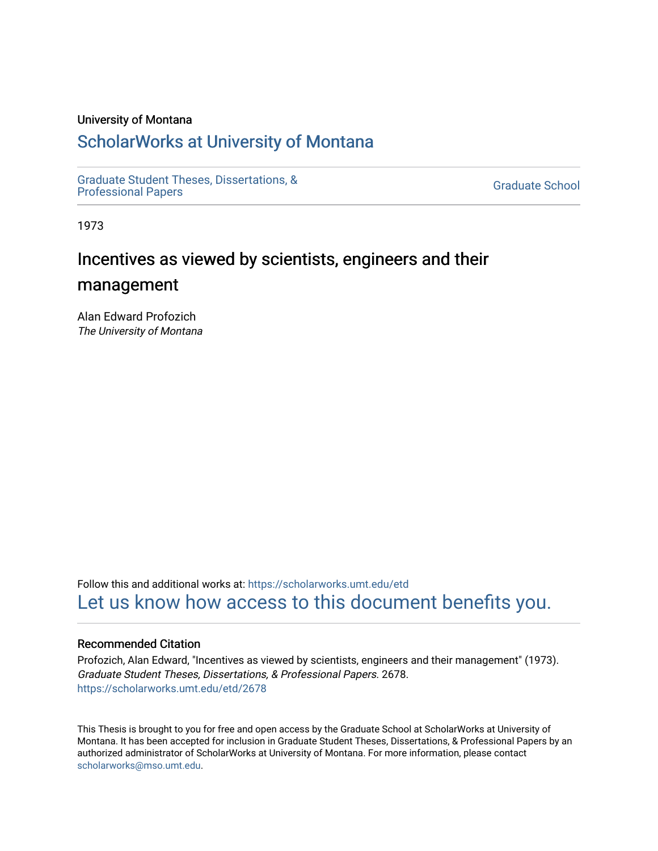### University of Montana

# [ScholarWorks at University of Montana](https://scholarworks.umt.edu/)

[Graduate Student Theses, Dissertations, &](https://scholarworks.umt.edu/etd) Graduate Student Theses, Dissertations, & Contract Control of the Graduate School [Professional Papers](https://scholarworks.umt.edu/etd) Contract Control of the Contract Control of the Contract Control of the Contract Contract Contract Control of the Contra

1973

# Incentives as viewed by scientists, engineers and their

# management

Alan Edward Profozich The University of Montana

Follow this and additional works at: [https://scholarworks.umt.edu/etd](https://scholarworks.umt.edu/etd?utm_source=scholarworks.umt.edu%2Fetd%2F2678&utm_medium=PDF&utm_campaign=PDFCoverPages)  [Let us know how access to this document benefits you.](https://goo.gl/forms/s2rGfXOLzz71qgsB2) 

#### Recommended Citation

Profozich, Alan Edward, "Incentives as viewed by scientists, engineers and their management" (1973). Graduate Student Theses, Dissertations, & Professional Papers. 2678. [https://scholarworks.umt.edu/etd/2678](https://scholarworks.umt.edu/etd/2678?utm_source=scholarworks.umt.edu%2Fetd%2F2678&utm_medium=PDF&utm_campaign=PDFCoverPages)

This Thesis is brought to you for free and open access by the Graduate School at ScholarWorks at University of Montana. It has been accepted for inclusion in Graduate Student Theses, Dissertations, & Professional Papers by an authorized administrator of ScholarWorks at University of Montana. For more information, please contact [scholarworks@mso.umt.edu.](mailto:scholarworks@mso.umt.edu)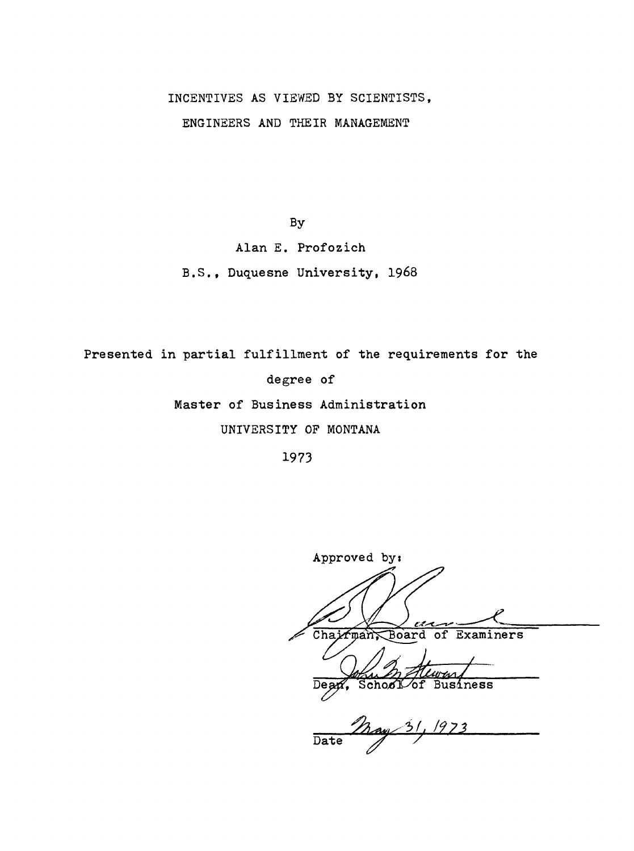# INCENTIVES AS VIEWED BY SCIENTISTS,

ENGINEERS AND THEIR MANAGEMENT

By

Alan E. Profozich

B.S., Duquesne University, I968

Presented in partial fulfillment of the requirements for the

degree of

Master of Business Administration

UNIVERSITY OF MONTANA

Approved by: سرم Chairman Board of Examiners Dean, School of Business  $\overline{\text{Date}}$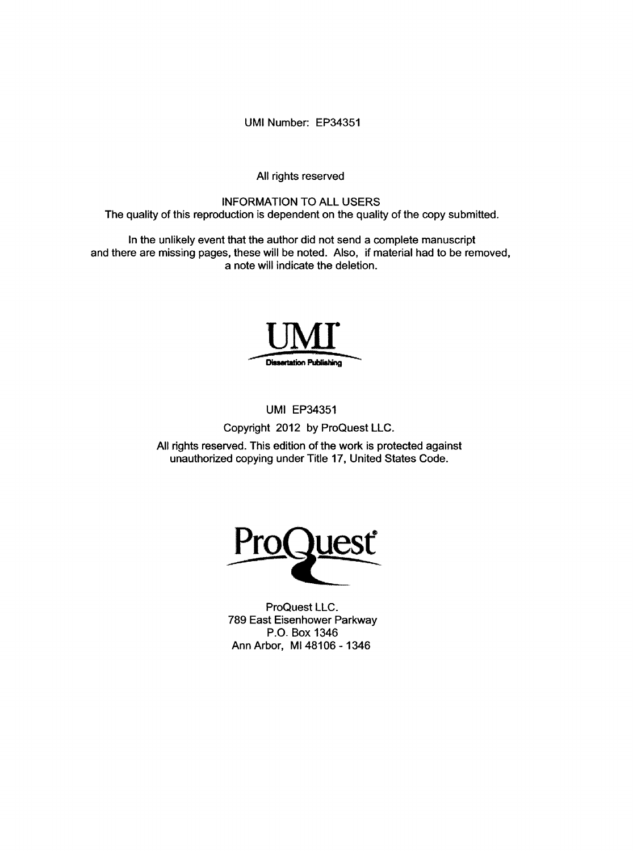UMI Number: EP34351

All rights reserved

## INFORMATION TO ALL USERS The quality of this reproduction is dependent on the quality of the copy submitted.

In the unlikely event that the author did not send a complete manuscript and there are missing pages, these will be noted. Also, if material had to be removed, a note will indicate the deletion.



## UMI EP34351

Copyright 2012 by ProQuest LLC.

All rights reserved. This edition of the work is protected against unauthorized copying under Title 17, United States Code.



ProQuest LLC. 789 East Eisenhower Parkway P.O. Box 1346 Ann Arbor, Ml 48106 - 1346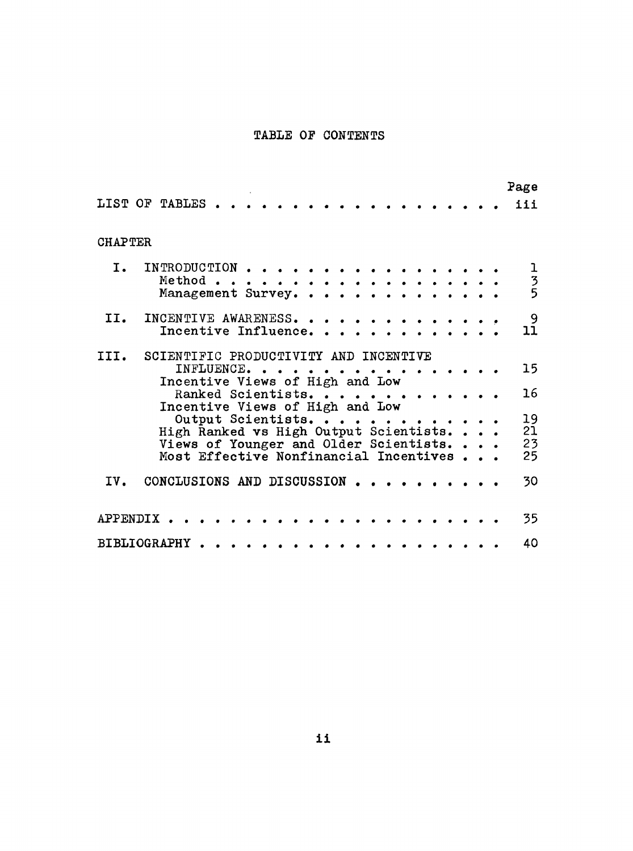## TABLE OF CONTENTS

|                     |                                                                                                                           |                    |   |  |  |  |  |  |  |  |  | Page                 |
|---------------------|---------------------------------------------------------------------------------------------------------------------------|--------------------|---|--|--|--|--|--|--|--|--|----------------------|
| LIST OF TABLES      |                                                                                                                           |                    |   |  |  |  |  |  |  |  |  | iii                  |
| <b>CHAPTER</b>      |                                                                                                                           |                    |   |  |  |  |  |  |  |  |  |                      |
| $\mathbf{I}$ .      | INTRODUCTION<br>Method .<br>Management Survey.                                                                            |                    | . |  |  |  |  |  |  |  |  | $\frac{1}{3}$        |
| II.                 | INCENTIVE AWARENESS.<br>Incentive Influence.                                                                              |                    |   |  |  |  |  |  |  |  |  | 9<br>11              |
| III.                | SCIENTIFIC PRODUCTIVITY AND INCENTIVE<br>Incentive Views of High and Low                                                  | INFLUENCE.         |   |  |  |  |  |  |  |  |  | 15                   |
|                     | Incentive Views of High and Low                                                                                           | Ranked Scientists. |   |  |  |  |  |  |  |  |  | 16                   |
|                     | High Ranked vs High Output Scientists<br>Views of Younger and Older Scientists.<br>Most Effective Nonfinancial Incentives | Output Scientists. |   |  |  |  |  |  |  |  |  | 19<br>21<br>23<br>25 |
| IV.                 | CONCLUSIONS AND DISCUSSION                                                                                                |                    |   |  |  |  |  |  |  |  |  | 30                   |
| APPENDIX            |                                                                                                                           |                    |   |  |  |  |  |  |  |  |  | 35                   |
| <b>BIBLIOGRAPHY</b> |                                                                                                                           |                    |   |  |  |  |  |  |  |  |  | 40                   |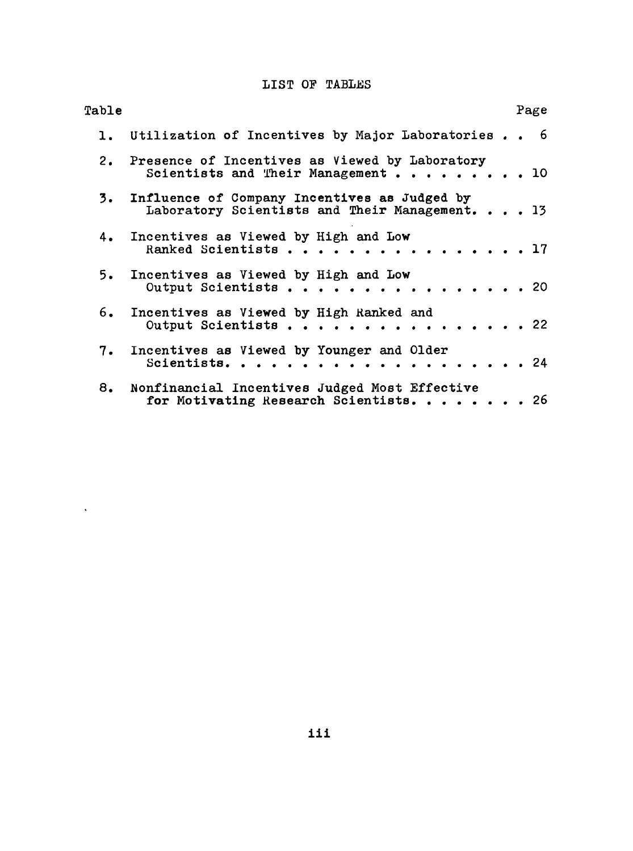# LIST OF TABLES

| Table |                                                                                                   | Page |  |
|-------|---------------------------------------------------------------------------------------------------|------|--|
|       | 1. Utilization of Incentives by Major Laboratories 6                                              |      |  |
|       | 2. Presence of Incentives as Viewed by Laboratory<br>Scientists and Their Management 10           |      |  |
|       | 3. Influence of Company Incentives as Judged by<br>Laboratory Scientists and Their Management. 13 |      |  |
|       | 4. Incentives as Viewed by High and Low<br>Ranked Scientists 17                                   |      |  |
|       | 5. Incentives as Viewed by High and Low<br>Output Scientists 20                                   |      |  |
|       | 6. Incentives as Viewed by High Ranked and<br>Output Scientists 22                                |      |  |
|       | 7. Incentives as Viewed by Younger and Older<br>Scientists.                                       | . 24 |  |
|       | 8. Nonfinancial Incentives Judged Most Effective<br>for Motivating Research Scientists. 26        |      |  |

 $\mathcal{L}(\mathcal{A})$  .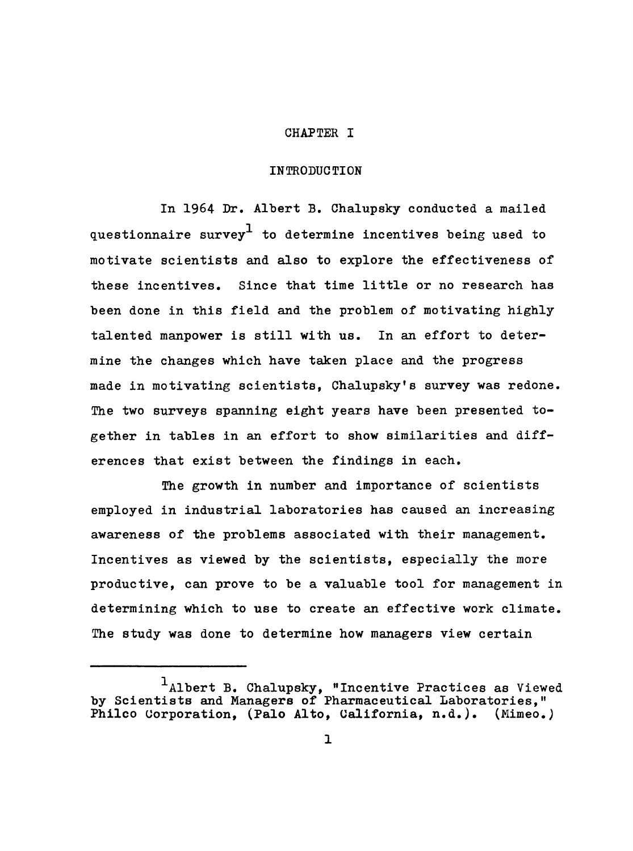#### CHAPTER I

### INTRODUCTION

In 1964 Dr. Albert B. Chalupsky conducted a mailed questionnaire survey<sup>1</sup> to determine incentives being used to motivate scientists and also to explore the effectiveness of these incentives. Since that time little or no research has been done in this field and the problem of motivating highly talented manpower is still with us. In an effort to determine the changes which have taken place and the progress made in motivating scientists, Chalupsky's survey was redone. The two surveys spanning eight years have been presented together in tables in an effort to show similarities and differences that exist between the findings in each.

The growth in number and importance of scientists employed in industrial laboratories has caused an increasing awareness of the problems associated with their management. Incentives as viewed by the scientists, especially the more productive, can prove to be a valuable tool for management in determining which to use to create an effective work climate. The study was done to determine how managers view certain

Albert B. Chalupsky, "Incentive Practices as Viewed by Scientists and Managers of Pharmaceutical Laboratories," Philco Corporation, (Palo Alto, California, n.d.). (Mimeo.)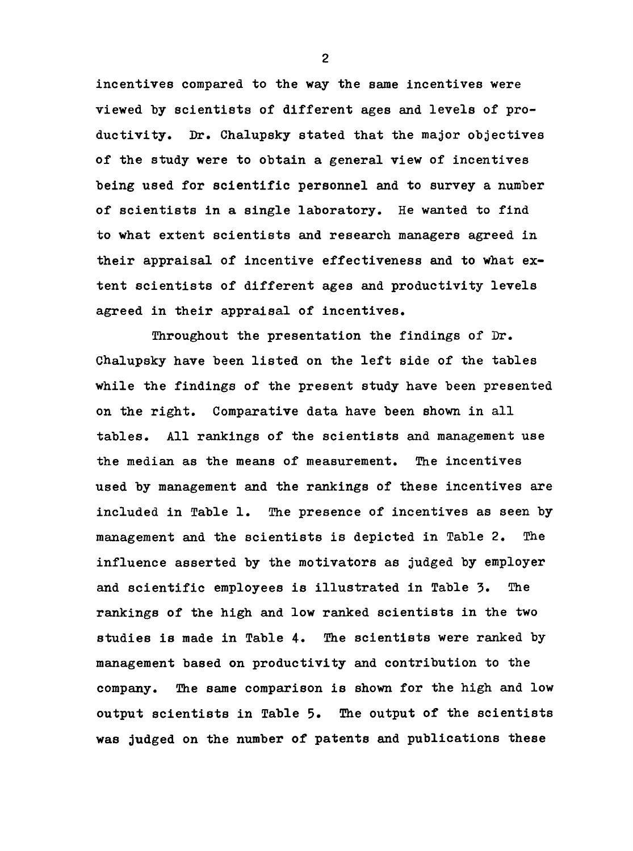incentives compared to the way the same incentives were viewed by scientists of different ages and levels of productivity. Dr. Chalupsky stated that the major objectives of the study were to obtain a general view of incentives being used for scientific personnel and to survey a number of scientists in a single laboratory. He wanted to find to what extent scientists and research managers agreed in their appraisal of incentive effectiveness and to what extent scientists of different ages and productivity levels agreed in their appraisal of incentives.

Throughout the presentation the findings of Dr. Chalupsky have been listed on the left side of the tables while the findings of the present study have been presented on the right. Comparative data have been shown in all tables. All rankings of the scientists and management use the median as the means of measurement. The incentives used by management and the rankings of these incentives are included in Table 1. The presence of incentives as seen by management and the scientists is depicted in Table 2. The influence asserted by the motivators as judged by employer and scientific employees is illustrated in Table 3. The rankings of the high and low ranked scientists in the two studies is made in Table 4. The scientists were ranked by management based on productivity and contribution to the company. The same comparison is shown for the high and low output scientists in Table 5. The output of the scientists was judged on the number of patents and publications these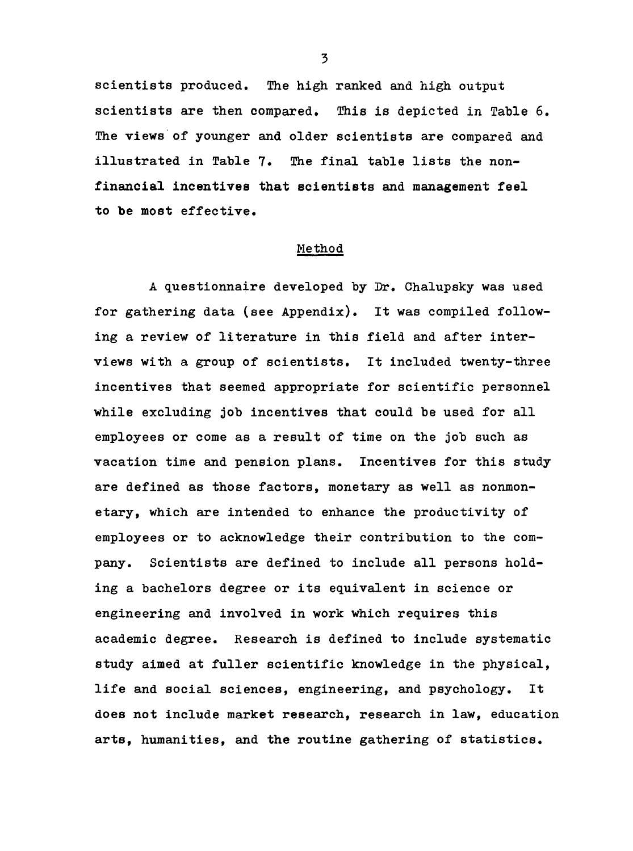scientists produced. The high ranked and high output scientists are then compared, This is depicted in Table 6, The views of younger and older scientists are compared and illustrated in Table 7. The final table lists the nonfinancial incentives that scientists and management feel to be most effective.

#### Method

A questionnaire developed by Dr. Chalupsky was used for gathering data (see Appendix). It was compiled following a review of literature in this field and after interviews with a group of scientists. It included twenty-three incentives that seemed appropriate for scientific personnel while excluding job incentives that could be used for all employees or come as a result of time on the job such as vacation time and pension plans. Incentives for this study are defined as those factors, monetary as well as nonmonetary, which are intended to enhance the productivity of employees or to acknowledge their contribution to the company. Scientists are defined to include all persons holding a bachelors degree or its equivalent in science or engineering and involved in work which requires this academic degree. Research is defined to include systematic study aimed at fuller scientific knowledge in the physical, life and social sciences, engineering, and psychology. It does not include market research, research in law, education arts, humanities, and the routine gathering of statistics.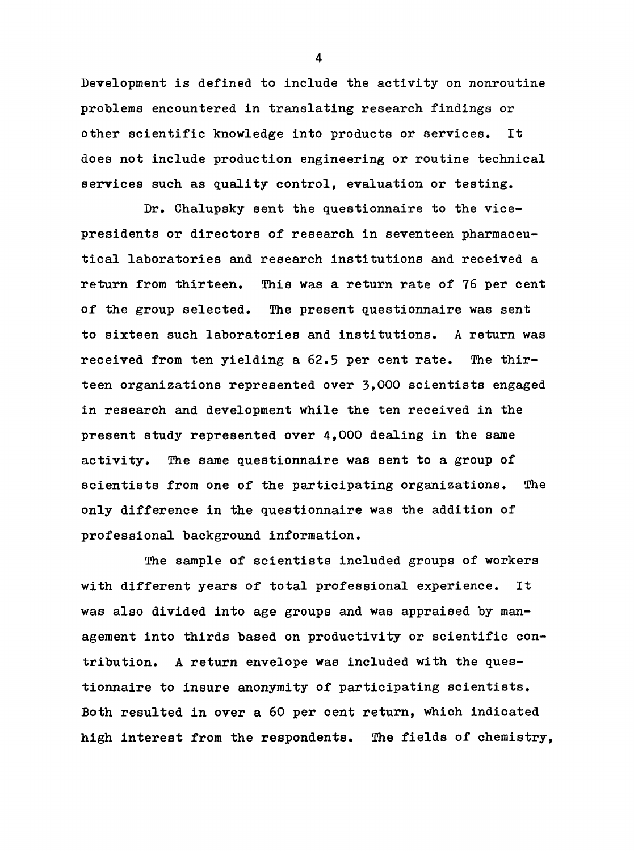Development is defined to include the activity on nonroutine problems encountered in translating research findings or other scientific knowledge into products or services. It does not include production engineering or routine technical services such as quality control, evaluation or testing.

Dr. Chalupsky sent the questionnaire to the vicepresidents or directors of research in seventeen pharmaceutical laboratories and research institutions and received a return from thirteen. This was a return rate of 76 per cent of the group selected. The present questionnaire was sent to sixteen such laboratories and institutions. A return was received from ten yielding a 62.5 per cent rate. The thirteen organizations represented over 3,000 scientists engaged in research and development while the ten received in the present study represented over 4,000 dealing in the same activity. The same questionnaire was sent to a group of scientists from one of the participating organizations. The only difference in the questionnaire was the addition of professional background information.

The sample of scientists included groups of workers with different years of total professional experience. It was also divided into age groups and was appraised by management into thirds based on productivity or scientific contribution. A return envelope was included with the questionnaire to insure anonymity of participating scientists. Both resulted in over a 60 per cent return, which indicated high interest from the respondents. The fields of chemistry,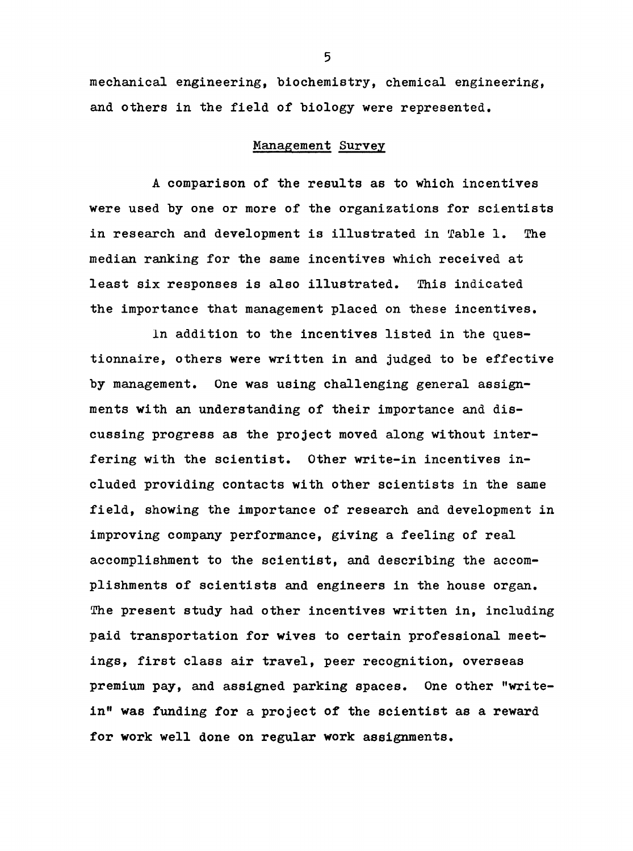mechanical engineering, biochemistry, chemical engineering, and others in the field of biology were represented.

## Management Survey

A comparison of the results as to which incentives were used by one or more of the organizations for scientists in research and development is illustrated in Table 1. The median ranking for the same incentives which received at least six responses is also illustrated. This indicated the importance that management placed on these incentives.

In addition to the incentives listed in the questionnaire, others were written in and judged to be effective by management. One was using challenging general assignments with an understanding of their importance and discussing progress as the project moved along without interfering with the scientist. Other write-in incentives included providing contacts with other scientists in the same field, showing the importance of research and development in improving company performance, giving a feeling of real accomplishment to the scientist, and describing the accomplishments of scientists and engineers in the house organ. The present study had other incentives written in, including paid transportation for wives to certain professional meetings, first class air travel, peer recognition, overseas premium pay, and assigned parking spaces. One other "writein" was funding for a project of the scientist as a reward for work well done on regular work assignments.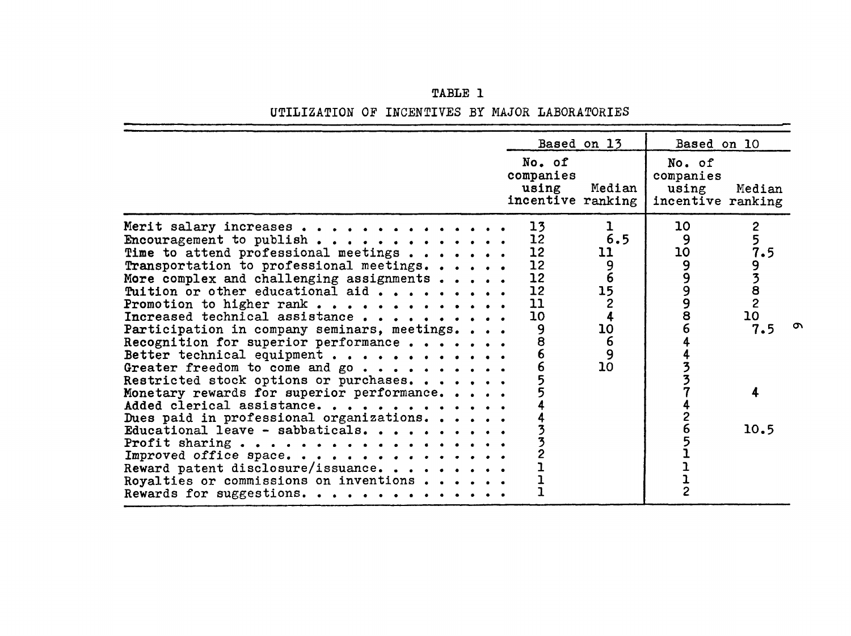|  | TABLE 1 |  |                                                 |
|--|---------|--|-------------------------------------------------|
|  |         |  | UTILIZATION OF INCENTIVES BY MAJOR LABORATORIES |

|                                                                                                                                                                                                                                                                                                                                                                                                                                                                                                                                                                                                                                                                                                                                                                                                          | Based on 13                                                                                                                                                                                               | Based on 10                                                                                                        |
|----------------------------------------------------------------------------------------------------------------------------------------------------------------------------------------------------------------------------------------------------------------------------------------------------------------------------------------------------------------------------------------------------------------------------------------------------------------------------------------------------------------------------------------------------------------------------------------------------------------------------------------------------------------------------------------------------------------------------------------------------------------------------------------------------------|-----------------------------------------------------------------------------------------------------------------------------------------------------------------------------------------------------------|--------------------------------------------------------------------------------------------------------------------|
|                                                                                                                                                                                                                                                                                                                                                                                                                                                                                                                                                                                                                                                                                                                                                                                                          | No. of<br>companies<br>using<br>Median<br>incentive ranking                                                                                                                                               | No. of<br>companies<br>using<br>Median<br>incentive ranking                                                        |
| Merit salary increases<br>Encouragement to publish<br>Time to attend professional meetings<br>Transportation to professional meetings.<br>More complex and challenging assignments<br>Tuition or other educational aid<br>Promotion to higher rank<br>Increased technical assistance<br>Participation in company seminars, meetings.<br>Recognition for superior performance<br>Better technical equipment<br>Greater freedom to come and go<br>Restricted stock options or purchases.<br>Monetary rewards for superior performance<br>Added clerical assistance.<br>Dues paid in professional organizations.<br>Educational leave - sabbaticals.<br>Profit sharing<br>Improved office space.<br>Reward patent disclosure/issuance<br>Royalties or commissions on inventions<br>Rewards for suggestions. | 13<br>$\mathbf{I}$<br>6.5<br>12<br>12<br>11<br>12<br>96<br>1524<br>12<br>12<br>11<br>10<br>10<br>9<br>$\begin{array}{c} 6 \\ 9 \end{array}$<br>$\overline{\overset{8}{6}}$<br>$\overline{6}$<br>10<br>433 | $\overline{2}$<br>10<br>5<br>9<br>7.5<br>10<br>99998<br>9382<br>10<br>6<br>7.5<br>4<br>4<br>10.5<br>$\overline{2}$ |

 $\sigma$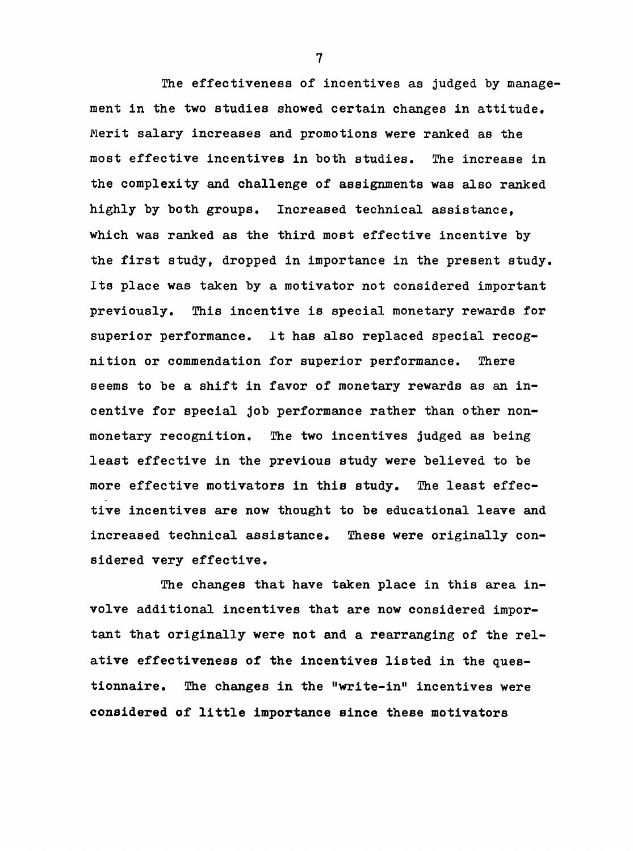The effectiveness of incentives as judged by management in the two studies showed certain changes in attitude. Merit salary increases and promotions were ranked as the most effective incentives in both studies. The increase in the complexity and challenge of assignments was also ranked highly by both groups. Increased technical assistance, which was ranked as the third most effective incentive by the first study, dropped in importance in the present study. Its place was taken by a motivator not considered important previously. This incentive is special monetary rewards for superior performance. It has also replaced special recognition or commendation for superior performance. There seems to be a shift in favor of monetary rewards as an incentive for special job performance rather than other nonmonetary recognition. The two incentives judged as being least effective in the previous study were believed to be more effective motivators in this study. The least effective incentives are now thought to be educational leave and increased technical assistance. These were originally considered very effective.

The changes that have taken place in this area involve additional incentives that are now considered important that originally were not and a rearranging of the relative effectiveness of the incentives listed in the questionnaire. The changes in the "write-in" incentives were considered of little importance since these motivators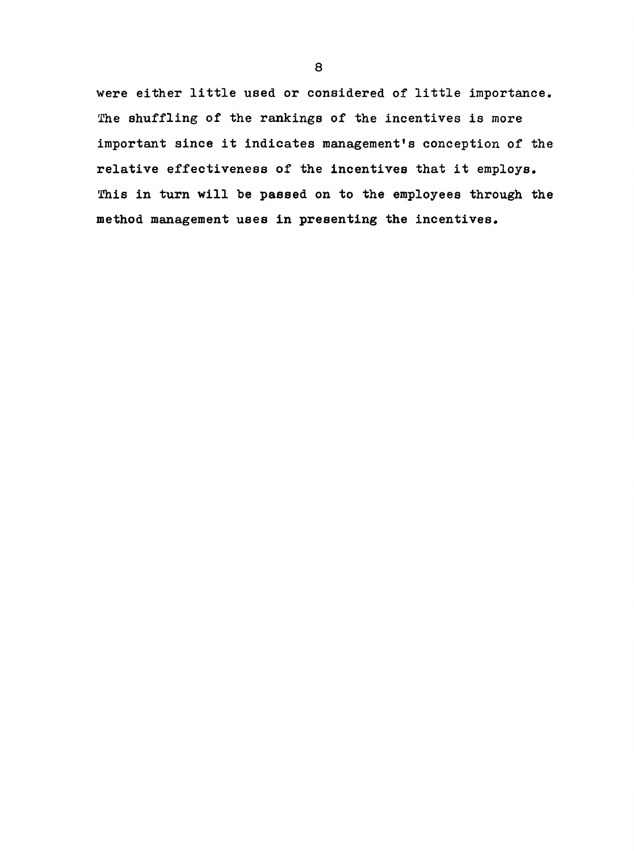were either little used or considered of little importance, The shuffling of the rankings of the incentives is more important since it indicates management's conception of the relative effectiveness of the incentives that it employs. This in turn will be passed on to the employees through the method management uses in presenting the incentives.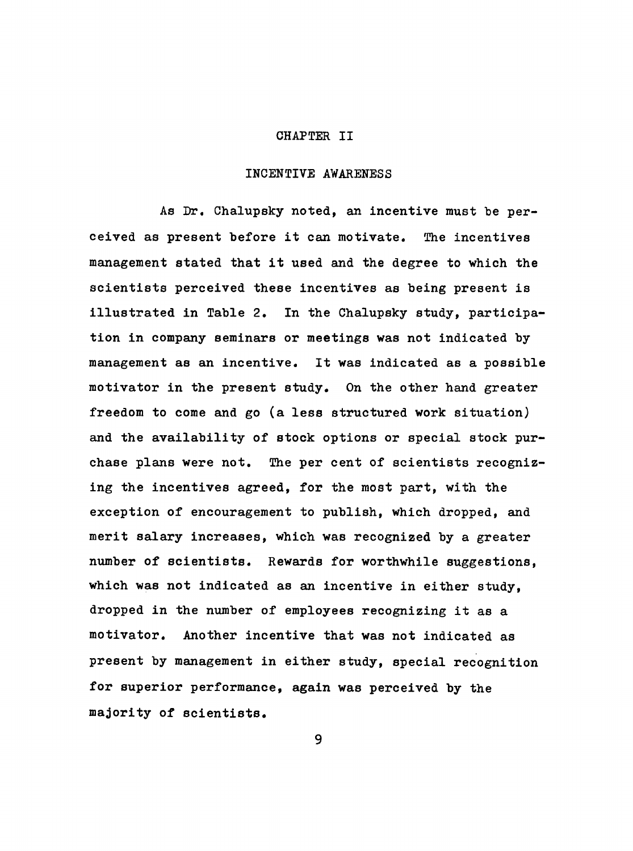#### CHAPTER II

#### INCENTIVE AWARENESS

As Dr. Chalupsky noted, an incentive must be perceived as present before it can motivate. The incentives management stated that it used and the degree to which the scientists perceived these incentives as being present is illustrated in Table 2. In the Chalupsky study, participation in company seminars or meetings was not indicated by management as an incentive. It was indicated as a possible motivator in the present study. On the other hand greater freedom to come and go (a less structured work situation) and the availability of stock options or special stock purchase plans were not. The per cent of scientists recognizing the incentives agreed, for the most part, with the exception of encouragement to publish, which dropped, and merit salary increases, which was recognized by a greater number of scientists. Rewards for worthwhile suggestions, which was not indicated as an incentive in either study, dropped in the number of employees recognizing it as a motivator. Another incentive that was not indicated as present by management in either study, special recognition for superior performance, again was perceived by the majority of scientists.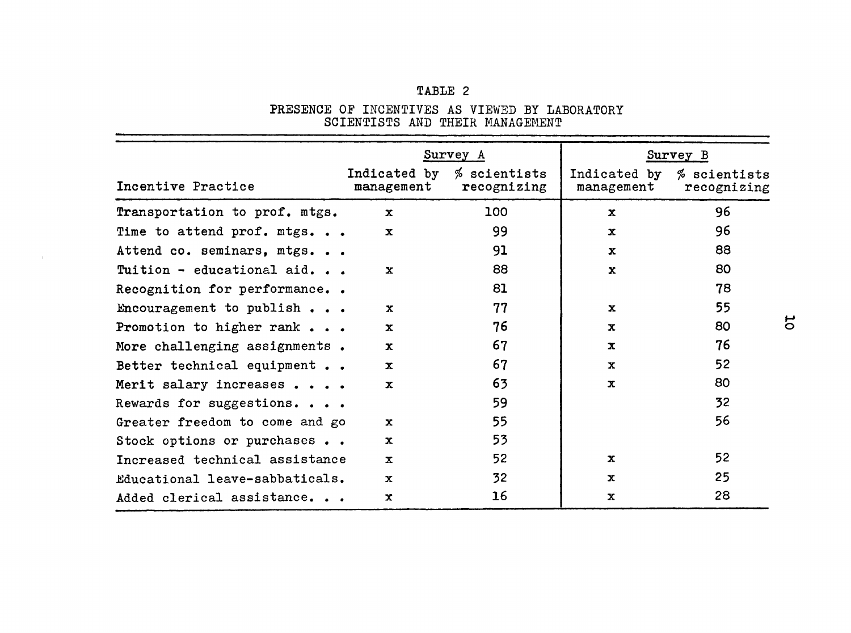# TABLE 2

PRESENCE OF INCENTIVES AS VIEWED BY LABORATORY SCIENTISTS AND THEIR MANAGEMENT

|                                                        |                            | Survey A                    | Survey B                      |                             |  |  |
|--------------------------------------------------------|----------------------------|-----------------------------|-------------------------------|-----------------------------|--|--|
| Incentive Practice                                     | Indicated by<br>management | % scientists<br>recognizing | Indicated by<br>$m$ anagement | % scientists<br>recognizing |  |  |
| Transportation to prof. mtgs.                          | $\mathbf{x}$               | 100                         | $\mathbf x$                   | 96                          |  |  |
| Time to attend prof. mtgs                              | $\mathbf{x}$               | 99                          | $\mathbf x$                   | 96                          |  |  |
| Attend co. seminars, mtgs                              |                            | 91                          | $\mathbf x$                   | 88                          |  |  |
| Tuition - educational aid.                             | $\mathbf{x}$               | 88                          | $\mathbf{x}$                  | 80                          |  |  |
| Recognition for performance                            |                            | 81                          |                               | 78                          |  |  |
| Encouragement to publish                               | $\mathbf{x}$               | 77                          | $\mathbf{x}$                  | 55                          |  |  |
| Promotion to higher rank $\bullet$ $\bullet$ $\bullet$ | $\mathbf{x}$               | 76                          | $\mathbf x$                   | 80                          |  |  |
| More challenging assignments.                          | $\mathbf{x}$               | 67                          | $\mathbf{x}$                  | 76                          |  |  |
| Better technical equipment                             | $\mathbf x$                | 67                          | $\mathbf{x}$                  | 52                          |  |  |
| Merit salary increases                                 | $\mathbf x$                | 63                          | $\mathbf x$                   | 80                          |  |  |
| Rewards for suggestions                                |                            | 59                          |                               | 32                          |  |  |
| Greater freedom to come and go                         | $\mathbf{x}$               | 55                          |                               | 56                          |  |  |
| Stock options or purchases                             | $\mathbf x$                | 53                          |                               |                             |  |  |
| Increased technical assistance                         | $\mathbf x$                | 52                          | $\mathbf{x}$                  | 52                          |  |  |
| Educational leave-sabbaticals.                         | $\mathbf{x}$               | 32                          | $\mathbf{x}$                  | 25                          |  |  |
| Added clerical assistance                              | $\mathbf{x}$               | 16                          | $\mathbf x$                   | 28                          |  |  |

 $\pm$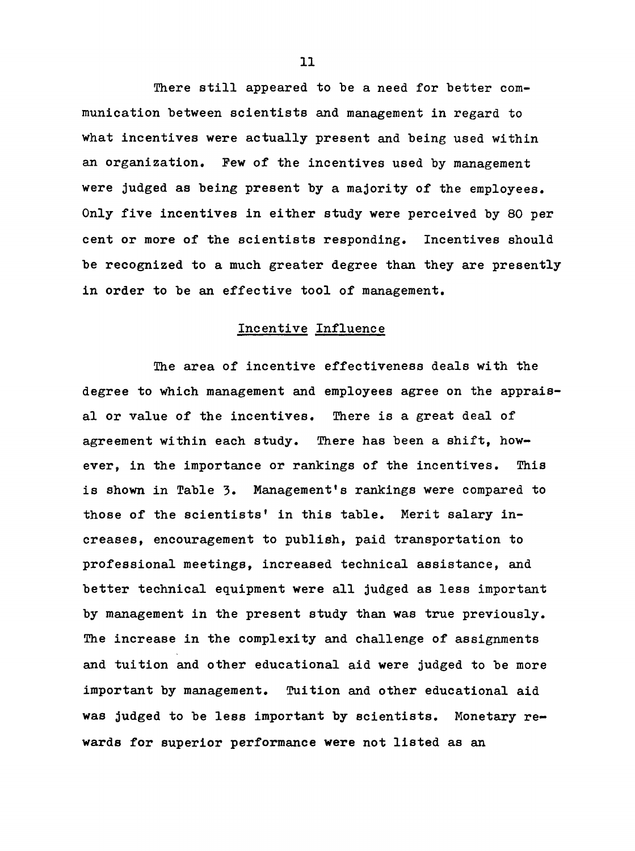There still appeared to be a need for better communication between scientists and management in regard to what incentives were actually present and being used within an organization. Pew of the incentives used by management were judged as being present by a majority of the employees. Only five incentives in either study were perceived by 80 per cent or more of the scientists responding. Incentives should be recognized to a much greater degree than they are presently in order to be an effective tool of management.

# Incentive Influence

The area of incentive effectiveness deals with the degree to which management and employees agree on the appraisal or value of the incentives. There is a great deal of agreement within each study. There has been a shift, however, in the importance or rankings of the incentives. This is shown in Table 3. Management's rankings were compared to those of the scientists' in this table. Merit salary increases, encouragement to publish, paid transportation to professional meetings, increased technical assistance, and better technical equipment were all judged as less important by management in the present study than was true previously. The increase in the complexity and challenge of assignments and tuition and other educational aid were judged to be more important by management. Tuition and other educational aid was judged to be less important by scientists. Monetary rewards for superior performance were not listed as an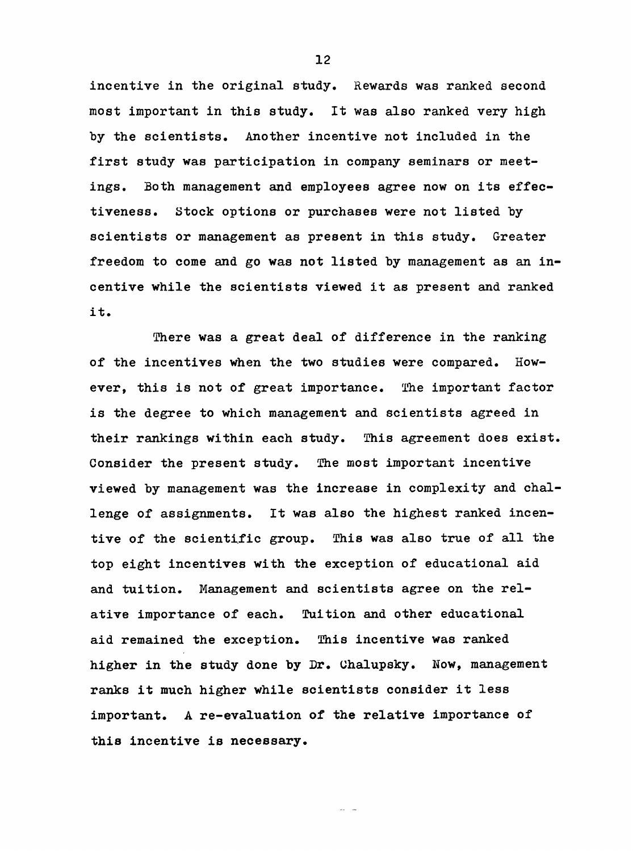incentive in the original study. Rewards was ranked second most important in this study. It was also ranked very high by the scientists. Another incentive not included in the first study was participation in company seminars or meetings, Both management and employees agree now on its effectiveness. Stock options or purchases were not listed by scientists or management as present in this study. Greater freedom to come and go was not listed by management as an incentive while the scientists viewed it as present and ranked it.

There was a great deal of difference in the ranking of the incentives when the two studies were compared. However, this is not of great importance. The important factor is the degree to which management and scientists agreed in their rankings within each study. This agreement does exist. Consider the present study. The most important incentive viewed by management was the increase in complexity and challenge of assignments. It was also the highest ranked incentive of the scientific group. This was also true of all the top eight incentives with the exception of educational aid and tuition. Management and scientists agree on the relative importance of each. Tuition and other educational aid remained the exception. This incentive was ranked higher in the study done by Dr. Uhalupsky. Now, management ranks it much higher while scientists consider it less important. A re-evaluation of the relative importance of this incentive is necessary.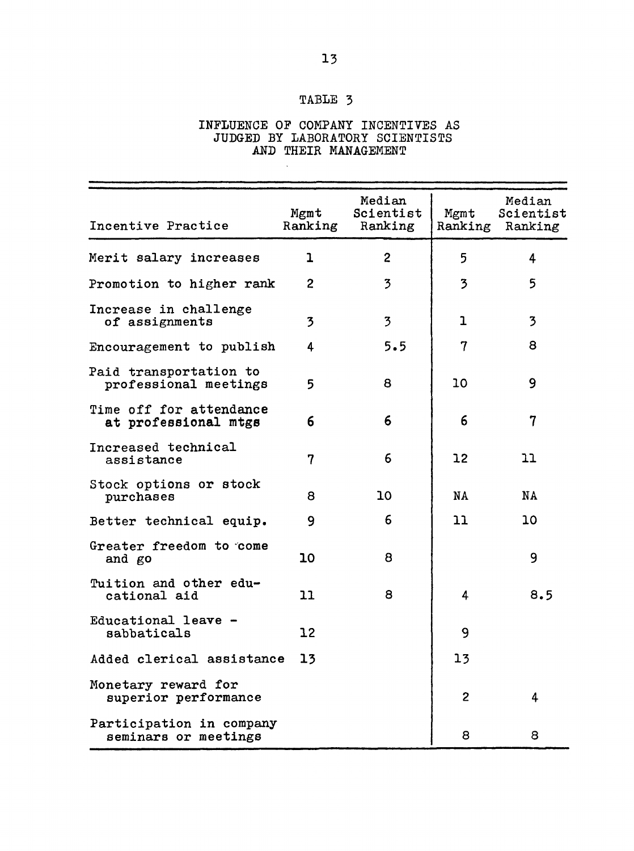# TABLE 3

### INFLUENCE OP COMPANY INCENTIVES AS JUDGED BY LABORATORY SCIENTISTS AND THEIR MANAGEMENT

| Incentive Practice                               | Mgmt<br>Ranking         | Median<br>Scientist<br>Ranking | Mgmt<br>Ranking | Median<br>Scientist<br>Ranking |
|--------------------------------------------------|-------------------------|--------------------------------|-----------------|--------------------------------|
| Merit salary increases                           | 1                       | $\overline{2}$                 | 5               | 4                              |
| Promotion to higher rank                         | $\overline{2}$          | 3                              | 3               | 5                              |
| Increase in challenge<br>of assignments          | $\overline{\mathbf{3}}$ | 3                              | ı               | $\overline{3}$                 |
| Encouragement to publish                         | 4                       | 5.5                            | 7               | 8                              |
| Paid transportation to<br>professional meetings  | 5                       | 8                              | 10              | 9                              |
| Time off for attendance<br>at professional mtgs  | 6                       | 6                              | 6               | $\overline{7}$                 |
| Increased technical<br>assistance                | $\overline{7}$          | 6                              | 12 <sup>2</sup> | 11                             |
| Stock options or stock<br>purchases              | 8                       | 10                             | NA              | <b>NA</b>                      |
| Better technical equip.                          | 9                       | 6                              | 11              | 10                             |
| Greater freedom to come<br>and go                | 10                      | 8                              |                 | 9                              |
| Tuition and other edu-<br>cational aid           | 11                      | 8                              | 4               | 8.5                            |
| Educational leave -<br>sabbaticals               | 12                      |                                | 9               |                                |
| Added clerical assistance                        | 13                      |                                | 13              |                                |
| Monetary reward for<br>superior performance      |                         |                                | $\overline{2}$  | 4                              |
| Participation in company<br>seminars or meetings |                         |                                | 8               | 8                              |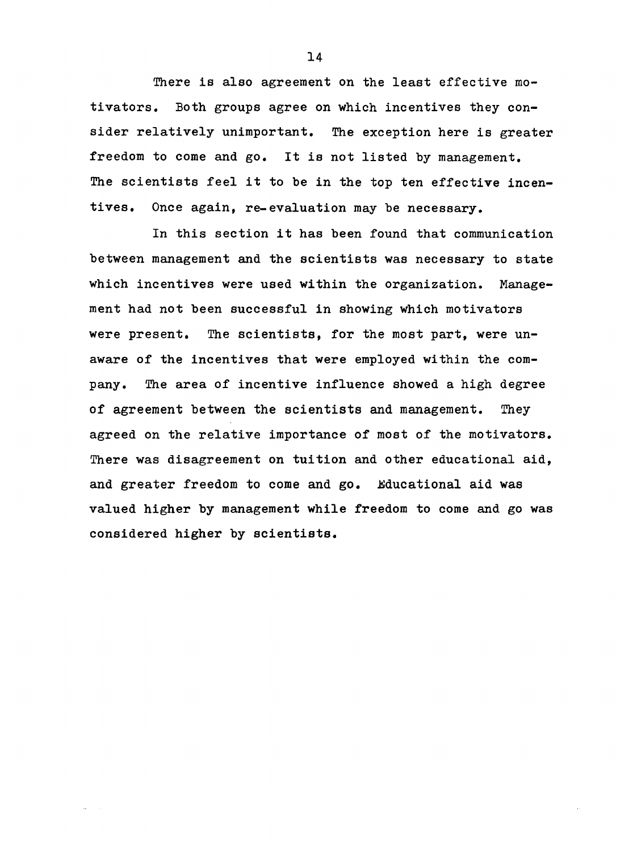There is also agreement on the least effective motivators. Both groups agree on which incentives they consider relatively unimportant. The exception here is greater freedom to come and go. It is not listed by management. The scientists feel it to be in the top ten effective incentives. Once again, re-evaluation may be necessary.

In this section it has been found that communication between management and the scientists was necessary to state which incentives were used within the organization. Management had not been successful in showing which motivators were present. The scientists, for the most part, were unaware of the incentives that were employed within the company. The area of incentive influence showed a high degree of agreement between the scientists and management. They agreed on the relative importance of most of the motivators. There was disagreement on tuition and other educational aid, and greater freedom to come and go, Educational aid was valued higher by management while freedom to come and go was considered higher by scientists.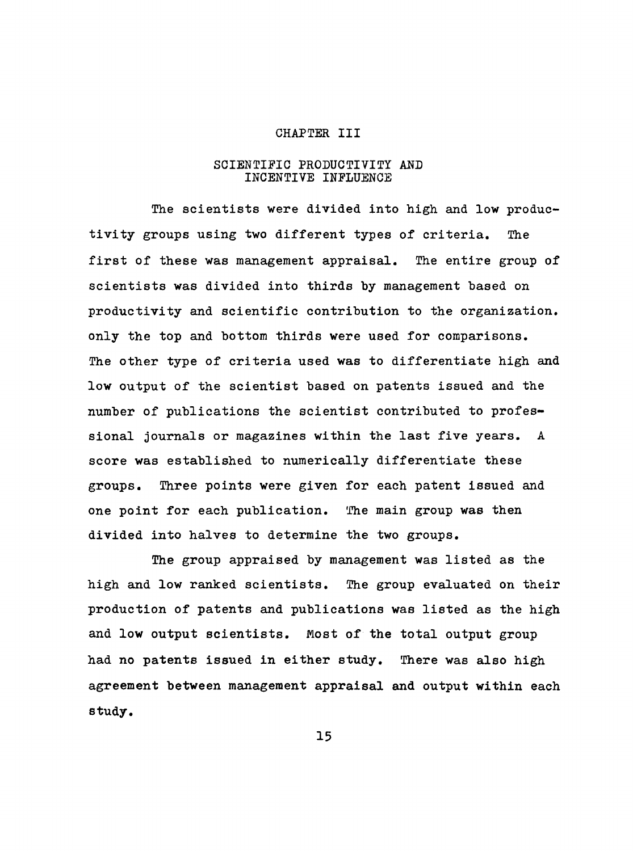#### CHAPTER III

#### SCIENTIFIC PRODUCTIVITY AND INCENTIVE INFLUENCE

The scientists were divided into high and low productivity groups using two different types of criteria. The first of these was management appraisal. The entire group of scientists was divided into thirds by management based on productivity and scientific contribution to the organization, only the top and bottom thirds were used for comparisons. The other type of criteria used was to differentiate high and low output of the scientist based on patents issued and the number of publications the scientist contributed to professional journals or magazines within the last five years, A score was established to numerically differentiate these groups. Three points were given for each patent issued and one point for each publication. The main group was then divided into halves to determine the two groups.

The group appraised by management was listed as the high and low ranked scientists. The group evaluated on their production of patents and publications was listed as the high and low output scientists. Most of the total output group had no patents issued in either study. There was also high agreement between management appraisal and output within each study.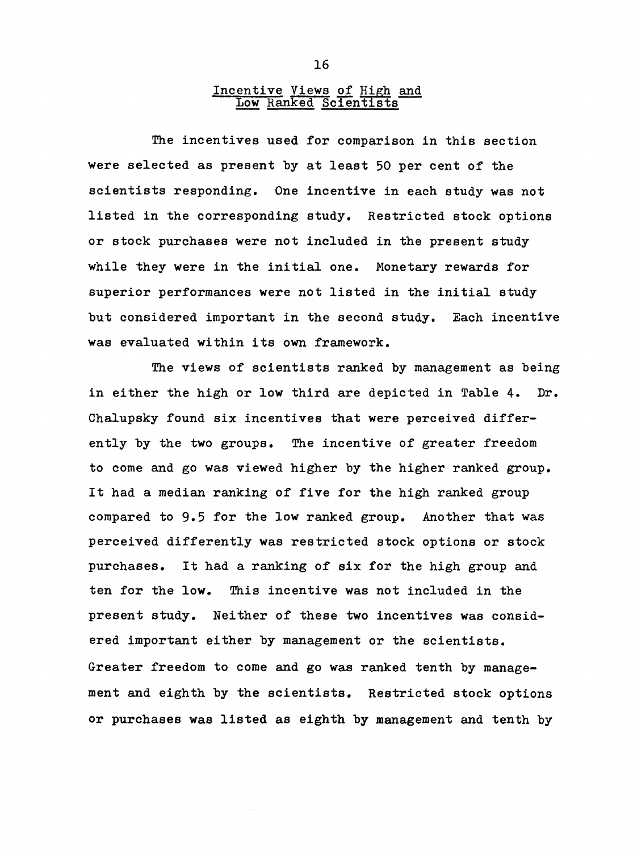## Incentive Views of High and Low Ranked Scientists

The incentives used for comparison in this section were selected as present by at least 50 per cent of the scientists responding. One incentive in each study was not listed in the corresponding study. Restricted stock options or stock purchases were not included in the present study while they were in the initial one. Monetary rewards for superior performances were not listed in the initial study but considered important in the second study. Each incentive was evaluated within its own framework.

The views of scientists ranked by management as being in either the high or low third are depicted in Table 4. Dr. Chalupsky found six incentives that were perceived differently by the two groups. The incentive of greater freedom to come and go was viewed higher by the higher ranked group. It had a median ranking of five for the high ranked group compared to 9»5 for the low ranked group. Another that was perceived differently was restricted stock options or stock purchases. It had a ranking of six for the high group and ten for the low. This incentive was not included in the present study. Neither of these two incentives was considered important either by management or the scientists. Greater freedom to come and go was ranked tenth by management and eighth by the scientists. Restricted stock options or purchases was listed as eighth by management and tenth by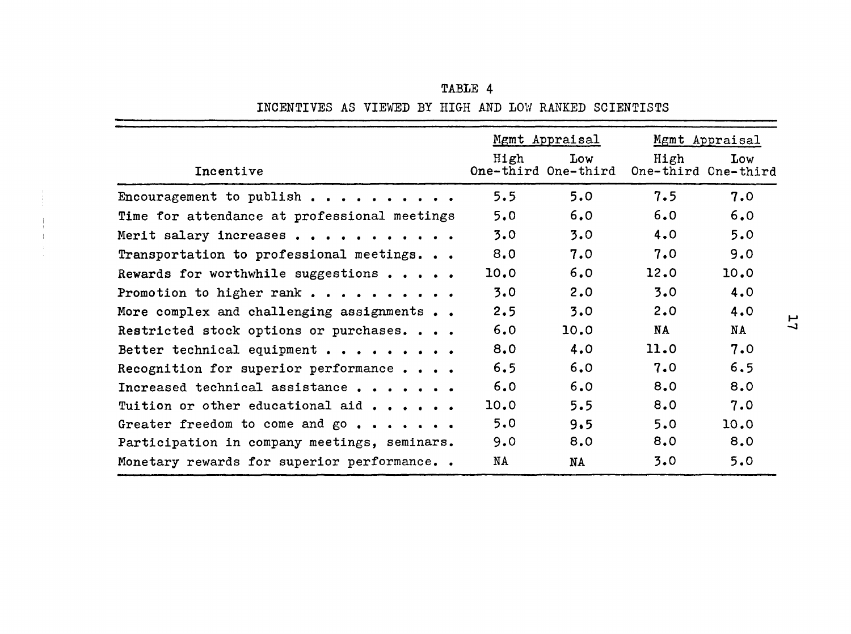|                                              |      | Mgmt Appraisal             |           | Mgmt Appraisal             |
|----------------------------------------------|------|----------------------------|-----------|----------------------------|
| Incentive                                    | High | Low<br>One-third One-third | High      | Low<br>One-third One-third |
| Encouragement to publish                     | 5.5  | 5.0                        | 7.5       | 7.0                        |
| Time for attendance at professional meetings | 5.0  | 6.0                        | 6.0       | 6.0                        |
| Merit salary increases                       | 3.0  | 3.0                        | 4.0       | 5.0                        |
| Transportation to professional meetings      | 8.0  | 7.0                        | 7.0       | 9.0                        |
| Rewards for worthwhile suggestions           | 10.0 | 6.0                        | 12.0      | 10.0                       |
| Promotion to higher rank                     | 3.0  | 2.0                        | 3.0       | 4.0                        |
| More complex and challenging assignments     | 2.5  | 3.0                        | 2.0       | 4.0                        |
| Restricted stock options or purchases        | 6.0  | 10.0                       | <b>NA</b> | NA                         |
| Better technical equipment                   | 8.0  | 4.0                        | 11.0      | 7.0                        |
| Recognition for superior performance         | 6.5  | 6.0                        | 7.0       | 6.5                        |
| Increased technical assistance               | 6.0  | 6.0                        | 8.0       | 8.0                        |
| Tuition or other educational aid             | 10.0 | 5.5                        | 8.0       | 7.0                        |
| Greater freedom to come and go               | 5.0  | 9.5                        | 5.0       | 10.0                       |
| Participation in company meetings, seminars. | 9.0  | 8.0                        | 8.0       | 8.0                        |
| Monetary rewards for superior performance    | NA   | <b>NA</b>                  | 3.0       | 5.0                        |

TABLE 4 INCENTIVES AS VIEWED BY HIGH AND LOW RANKED SCIENTISTS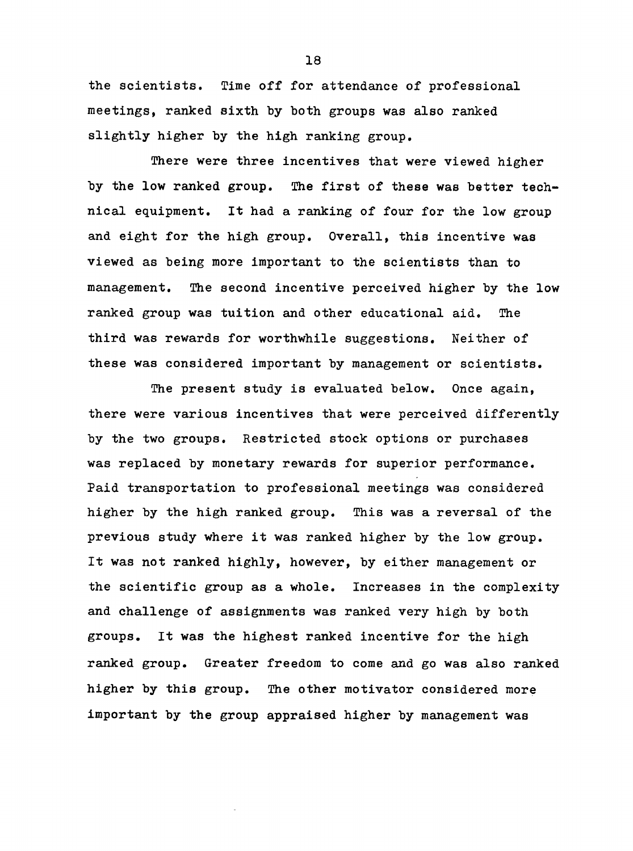the scientists. Time off for attendance of professional meetings, ranked sixth by both groups was also ranked slightly higher by the high ranking group.

There were three incentives that were viewed higher by the low ranked group. The first of these was better technical equipment. It had a ranking of four for the low group and eight for the high group. Overall, this incentive was viewed as being more important to the scientists than to management. The second incentive perceived higher by the low ranked group was tuition and other educational aid. The third was rewards for worthwhile suggestions. Neither of these was considered important by management or scientists.

The present study is evaluated below. Once again, there were various incentives that were perceived differently by the two groups. Restricted stock options or purchases was replaced by monetary rewards for superior performance. Paid transportation to professional meetings was considered higher by the high ranked group. This was a reversal of the previous study where it was ranked higher by the low group. It was not ranked highly, however, by either management or the scientific group as a whole. Increases in the complexity and challenge of assignments was ranked very high by both groups. It was the highest ranked incentive for the high ranked group. Greater freedom to come and go was also ranked higher by this group. The other motivator considered more important by the group appraised higher by management was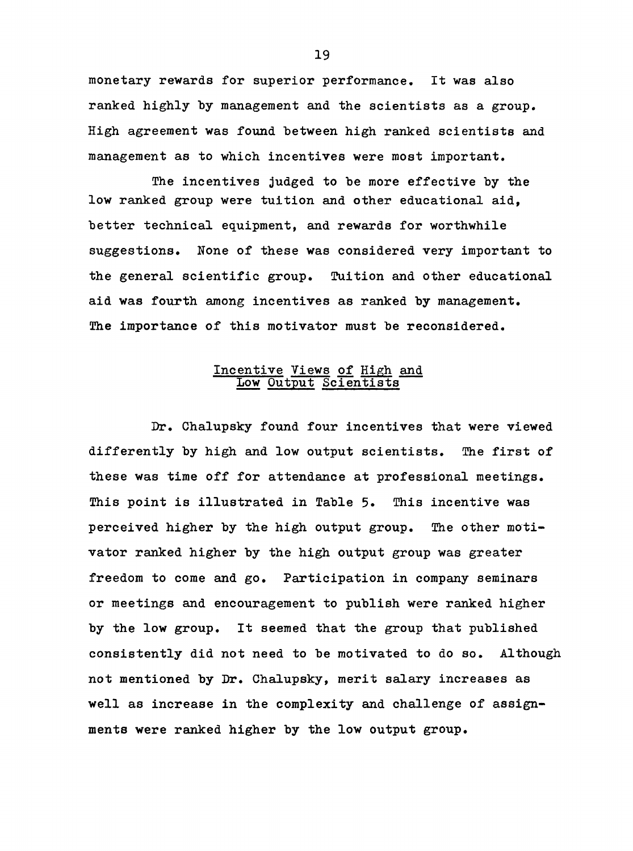monetary rewards for superior performance. It was also ranked highly by management and the scientists as a group. High agreement was found between high ranked scientists and management as to which incentives were most important.

The incentives judged to be more effective by the low ranked group were tuition and other educational aid, better technical equipment, and rewards for worthwhile suggestions. None of these was considered very important to the general scientific group. Tuition and other educational aid was fourth among incentives as ranked by management. The importance of this motivator must be reconsidered.

## Incentive Views of High and Low Output Scientists

Dr. Chalupsky found four incentives that were viewed differently by high and low output scientists. The first of these was time off for attendance at professional meetings. This point is illustrated in Table 5. This incentive was perceived higher by the high output group. The other motivator ranked higher by the high output group was greater freedom to come and go. Participation in company seminars or meetings and encouragement to publish were ranked higher by the low group. It seemed that the group that published consistently did not need to be motivated to do so. Although not mentioned by Dr. Chalupsky, merit salary increases as well as increase in the complexity and challenge of assignments were ranked higher by the low output group.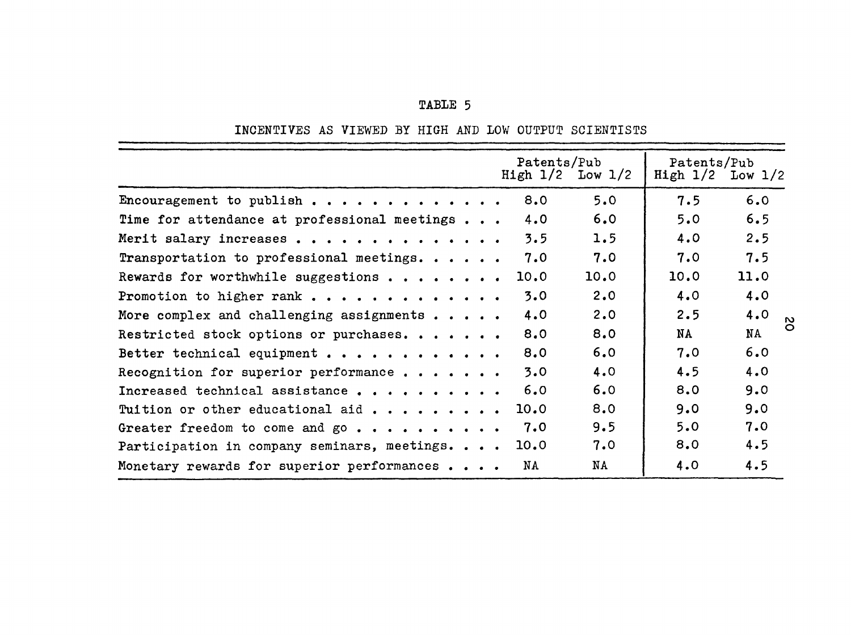| TABLE |  |
|-------|--|
|-------|--|

INCENTIVES AS VIEWED BY HIGH AND lOW OUTPUT SCIENTISTS

|                                              | Patents/Pub<br>High $1/2$ Low $1/2$ |      | Patents/Pub<br>High 1/2 | Low $1/2$                    |
|----------------------------------------------|-------------------------------------|------|-------------------------|------------------------------|
| Encouragement to publish                     | 8.0                                 | 5.0  | 7.5                     | 6.0                          |
| Time for attendance at professional meetings | 4.0                                 | 6.0  | 5.0                     | 6.5                          |
| Merit salary increases                       | 3.5                                 | 1.5  | 4.0                     | 2.5                          |
| Transportation to professional meetings.     | 7.0                                 | 7.0  | 7.0                     | 7.5                          |
| Rewards for worthwhile suggestions           | 10.0                                | 10.0 | 10.0                    | 11.0                         |
| Promotion to higher rank                     | 3.0                                 | 2.0  | 4.0                     | 4.0                          |
| More complex and challenging assignments     | 4.0                                 | 2.0  | 2.5                     | 4.0<br>$\mathbf{\mathsf{N}}$ |
| Restricted stock options or purchases.       | 8.0                                 | 8.0  | NA                      | Õ<br>NA                      |
| Better technical equipment                   | 8.0                                 | 6.0  | 7.0                     | 6.0                          |
| Recognition for superior performance         | 3.0                                 | 4.0  | 4.5                     | 4.0                          |
| Increased technical assistance               | 6.0                                 | 6.0  | 8.0                     | 9.0                          |
| Tuition or other educational aid             | 10.0                                | 8.0  | 9.0                     | 9.0                          |
| Greater freedom to come and go               | 7.0                                 | 9.5  | 5.0                     | 7.0                          |
| Participation in company seminars, meetings  | 10.0                                | 7.0  | 8.0                     | 4.5                          |
| Monetary rewards for superior performances   | NA                                  | NA   | 4.0                     | 4.5                          |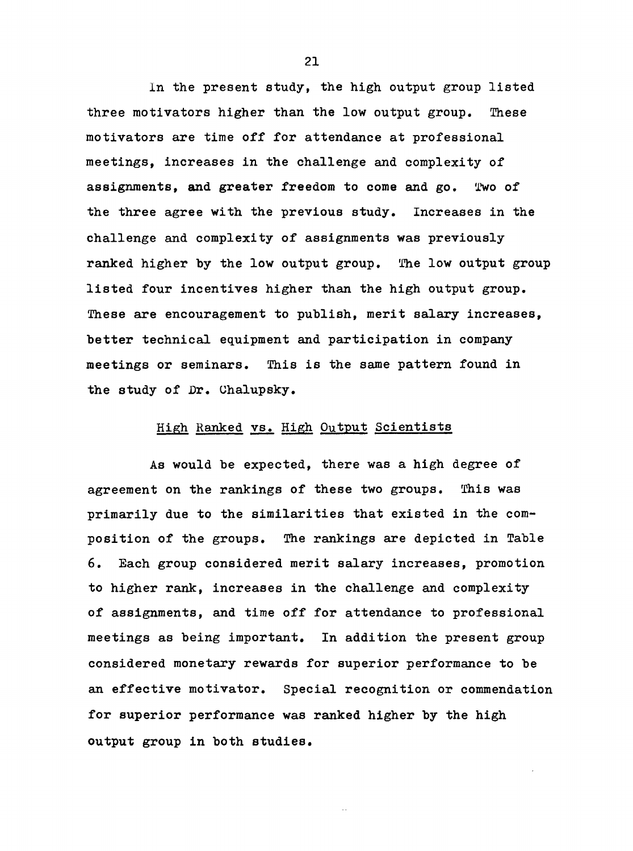In the present study, the high output group listed three motivators higher than the low output group. These motivators are time off for attendance at professional meetings, increases in the challenge and complexity of assignments, and greater freedom to come and go. Two of the three agree with the previous study. Increases in the challenge and complexity of assignments was previously ranked higher by the low output group. The low output group listed four incentives higher than the high output group. These are encouragement to publish, merit salary increases, better technical equipment and participation in company meetings or seminars. This is the same pattern found in the study of Dr. Uhalupsky.

### High Ranked vs. High Output Scientists

As would be expected, there was a high degree of agreement on the rankings of these two groups. This was primarily due to the similarities that existed in the composition of the groups. The rankings are depicted in Table 6. Each group considered merit salary increases, promotion to higher rank, increases in the challenge and complexity of assignments, and time off for attendance to professional meetings as being important. In addition the present group considered monetary rewards for superior performance to be an effective motivator. Special recognition or commendation for superior performance was ranked higher by the high output group in both studies.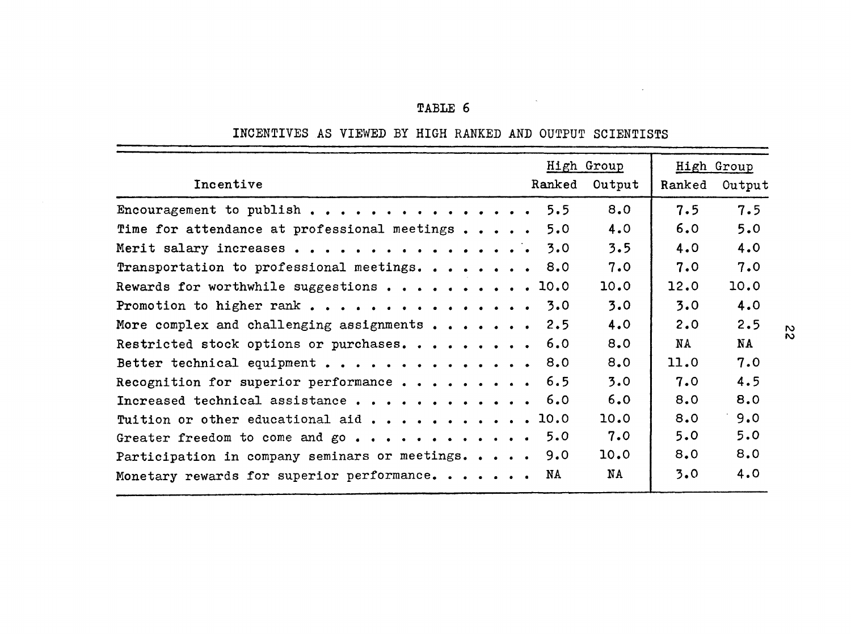| <b>TABLE</b> |  |
|--------------|--|
|--------------|--|

# INCENTIVES AS VIEWED BY HIGH RANKED AND OUTPUT SCIENTISTS

 $\label{eq:2.1} \frac{1}{\sqrt{2\pi}}\int_{0}^{\pi}\frac{1}{\sqrt{2\pi}}\left(\frac{1}{\sqrt{2\pi}}\right)^{2\pi}e^{-\frac{1}{2\pi}}\left(\frac{1}{\sqrt{2\pi}}\right)^{2\pi}e^{-\frac{1}{2\pi}}\left(\frac{1}{\sqrt{2\pi}}\right)^{2\pi}e^{-\frac{1}{2\pi}}\left(\frac{1}{\sqrt{2\pi}}\right)^{2\pi}e^{-\frac{1}{2\pi}}\left(\frac{1}{\sqrt{2\pi}}\right)^{2\pi}e^{-\frac{1}{2\pi}}\left(\frac{1}{\sqrt{2\pi}}$ 

 $\sim$ 

|                                                |        | High Group |        | High Group |
|------------------------------------------------|--------|------------|--------|------------|
| Incentive                                      | Ranked | Output     | Ranked | Output     |
| Encouragement to publish                       | 5.5    | 8.0        | 7.5    | 7.5        |
| Time for attendance at professional meetings   | 5.0    | 4.0        | 6.0    | 5.0        |
| Merit salary increases                         | 3.0    | 3.5        | 4.0    | 4.0        |
| Transportation to professional meetings. 8.0   |        | 7.0        | 7.0    | 7.0        |
| Rewards for worthwhile suggestions 10.0        |        | 10.0       | 12.0   | 10.0       |
| Promotion to higher rank                       | 3.0    | 3.0        | 3.0    | 4.0        |
| More complex and challenging assignments       | 2.5    | 4.0        | 2.0    | 2.5        |
| Restricted stock options or purchases.         | 6.0    | 8.0        | NA     | <b>NA</b>  |
| Better technical equipment                     | 8.0    | 8.0        | 11.0   | 7.0        |
| Recognition for superior performance           | 6.5    | 3.0        | 7.0    | 4.5        |
| Increased technical assistance                 | 6.0    | 6.0        | 8.0    | 8.0        |
| Tuition or other educational aid 10.0          |        | 10.0       | 8.0    | 9.0        |
| Greater freedom to come and go                 | 5.0    | 7.0        | 5.0    | 5.0        |
| Participation in company seminars or meetings. | 9.0    | 10.0       | 8.0    | 8.0        |
| Monetary rewards for superior performance.     | NA     | NA         | 3.0    | 4.0        |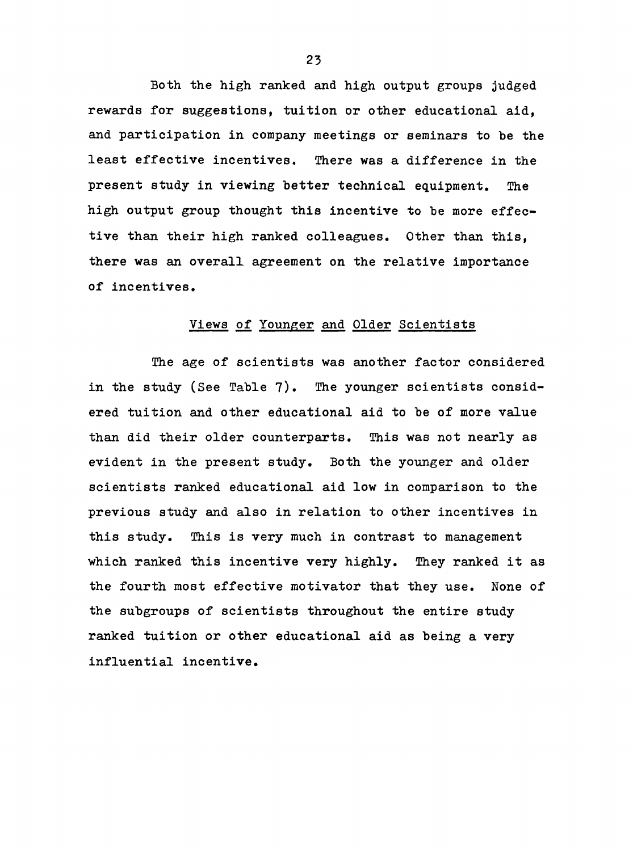Both the high ranked and high output groups judged rewards for suggestions, tuition or other educational aid, and participation in company meetings or seminars to be the least effective incentives. There was a difference in the present study in viewing better technical equipment. The high output group thought this incentive to be more effective than their high ranked colleagues. Other than this, there was an overall agreement on the relative importance of incentives.

#### Views of Younger and Older Scientists

The age of scientists was another factor considered in the study (See Table 7). The younger scientists considered tuition and other educational aid to be of more value than did their older counterparts. This was not nearly as evident in the present study. Both the younger and older scientists ranked educational aid low in comparison to the previous study and also in relation to other incentives in this study. This is very much in contrast to management which ranked this incentive very highly. They ranked it as the fourth most effective motivator that they use. None of the subgroups of scientists throughout the entire study ranked tuition or other educational aid as being a very influential incentive.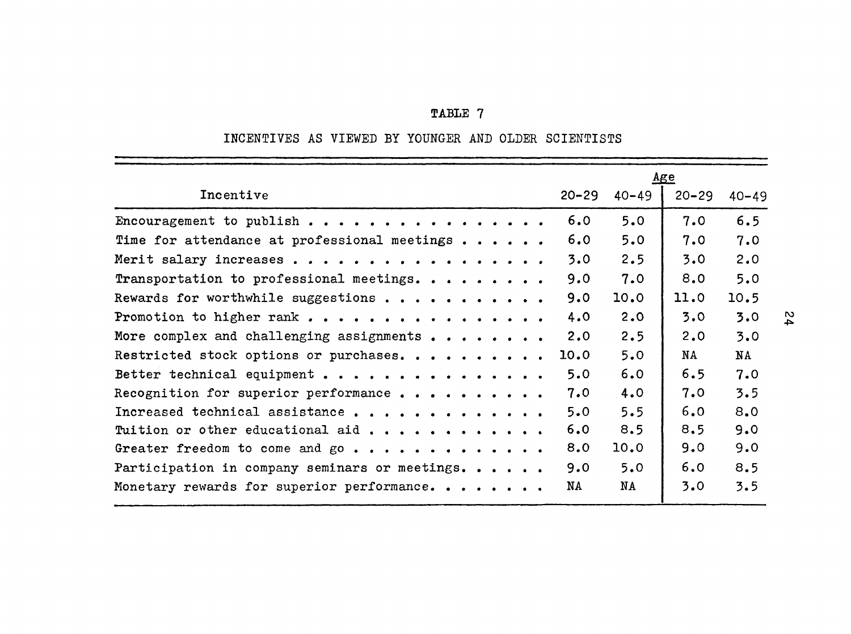# **TABLE 7**

# INCENTIVES AS VIEWED BY YOUNGER AND OLDER SCIENTISTS

|                                                       |           |           | <u>Age</u> |           |
|-------------------------------------------------------|-----------|-----------|------------|-----------|
| Incentive                                             | $20 - 29$ | $40 - 49$ | $20 - 29$  | $40 - 49$ |
| Encouragement to publish                              | 6.0       | 5.0       | 7.0        | 6.5       |
| Time for attendance at professional meetings $\ldots$ | 6.0       | 5.0       | 7.0        | 7.0       |
| Merit salary increases                                | 3.0       | 2.5       | 3.0        | 2.0       |
| Transportation to professional meetings.              | 9.0       | 7.0       | 8.0        | 5.0       |
| Rewards for worthwhile suggestions                    | 9.0       | 10.0      | 11.0       | 10.5      |
| Promotion to higher rank                              | 4.0       | 2.0       | 3.0        | 3.0       |
| More complex and challenging assignments              | 2.0       | 2.5       | 2.0        | 3.0       |
| Restricted stock options or purchases.                | 10.0      | 5.0       | NA         | NA        |
| Better technical equipment                            | 5.0       | 6.0       | 6.5        | 7.0       |
| Recognition for superior performance                  | 7.0       | 4.0       | 7.0        | 3.5       |
| Increased technical assistance                        | 5.0       | 5.5       | 6.0        | 8.0       |
| Tuition or other educational aid                      | 6.0       | 8.5       | 8,5        | 9.0       |
| Greater freedom to come and go                        | 8.0       | 10.0      | 9.0        | 9.0       |
| Participation in company seminars or meetings.        | 9.0       | 5.0       | 6.0        | 8.5       |
| Monetary rewards for superior performance.            | NA        | NA        | 3.0        | 3.5       |
|                                                       |           |           |            |           |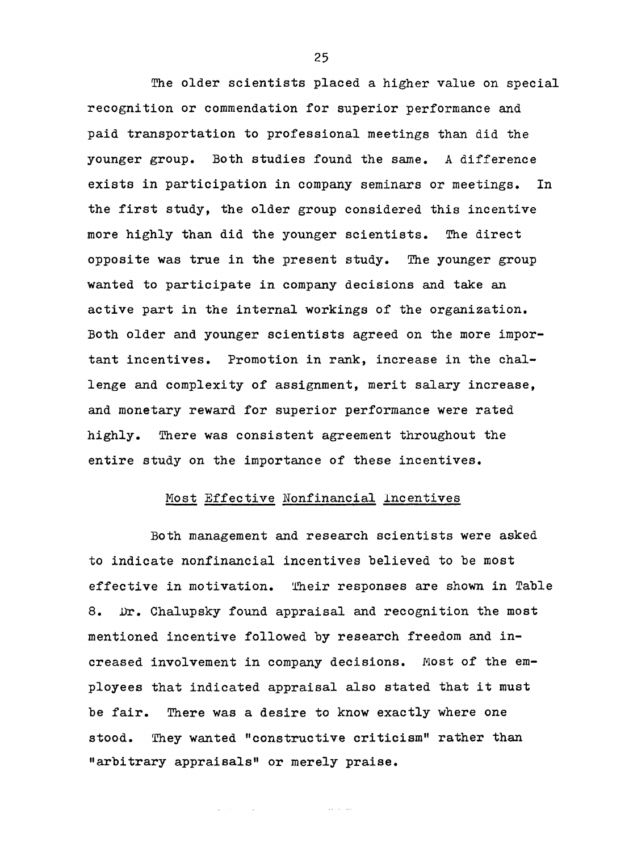The older scientists placed a higher value on special recognition or commendation for superior performance and paid transportation to professional meetings than did the younger group. Both studies found the same. A difference exists in participation in company seminars or meetings. In the first study, the older group considered this incentive more highly than did the younger scientists. The direct opposite was true in the present study. The younger group wanted to participate in company decisions and take an active part in the internal workings of the organization. Both older and younger scientists agreed on the more important incentives. Promotion in rank, increase in the challenge and complexity of assignment, merit salary increase, and monetary reward for superior performance were rated highly. There was consistent agreement throughout the entire study on the importance of these incentives.

## Most Effective Nonfinancial Incentives

Both management and research scientists were asked to indicate nonfinancial incentives believed to be most effective in motivation. Their responses are shown in Table 8. Dr. Chalupsky found appraisal and recognition the most mentioned incentive followed by research freedom and increased involvement in company decisions. Most of the employees that indicated appraisal also stated that it must be fair. There was a desire to know exactly where one stood. They wanted "constructive criticism" rather than "arbitrary appraisals" or merely praise.

للمنابذ المتعادلات

 $\Delta \sim 10^{11}$  matrix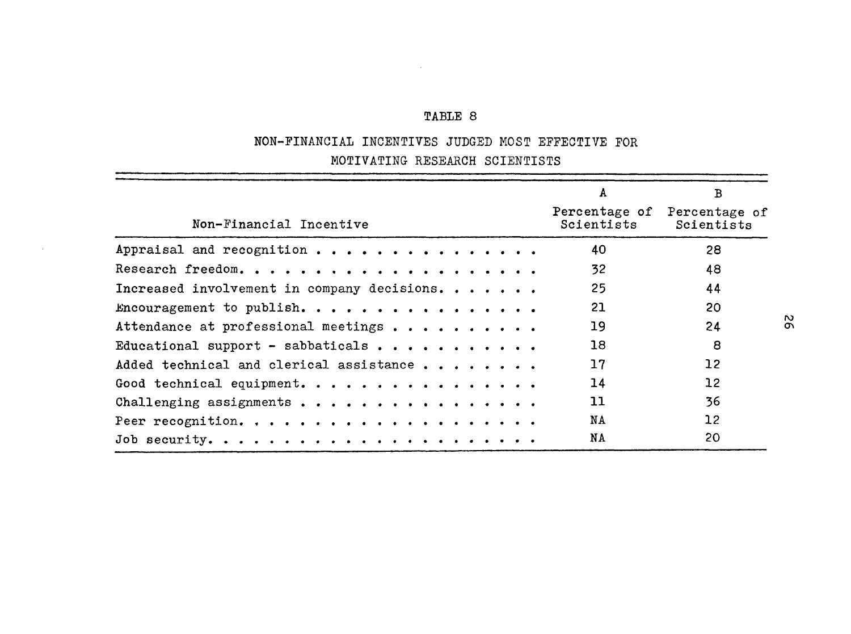# **TABLE 8**

 $\sim 10^{11}$ 

# NON-FINANCIAL INCENTIVES JUDGED MOST EFFECTIVE FOR MOTIVATING RESEARCH SCIENTISTS

|                                             | $\mathbf{A}$                | $\mathbf{B}$                |
|---------------------------------------------|-----------------------------|-----------------------------|
| Non-Financial Incentive                     | Percentage of<br>Scientists | Percentage of<br>Scientists |
| Appraisal and recognition                   | 40                          | 28                          |
|                                             | 32 <sub>2</sub>             | 48                          |
| Increased involvement in company decisions. | 25                          | 44                          |
| Encouragement to publish.                   | 21                          | 20                          |
| Attendance at professional meetings         | 19                          | 24                          |
| Educational support - sabbaticals           | 18                          | 8                           |
| Added technical and clerical assistance     | 17                          | 12 <sup>°</sup>             |
| Good technical equipment.                   | 14                          | 12 <sup>2</sup>             |
| Challenging assignments                     | 11                          | 36                          |
|                                             | NA                          | 12 <sup>2</sup>             |
|                                             | NA                          | 20                          |

 $\sim 10^{-1}$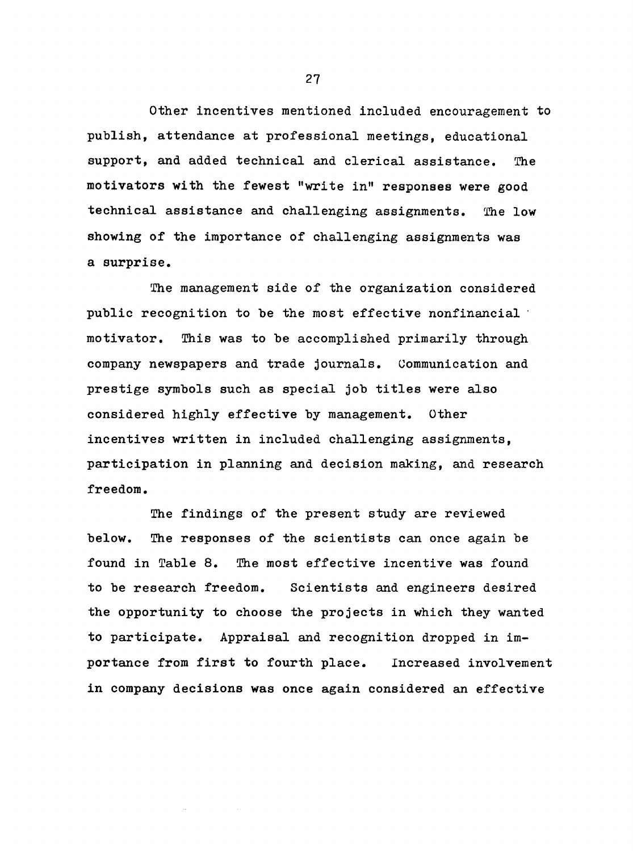Other incentives mentioned included encouragement to publish, attendance at professional meetings, educational support, and added technical and clerical assistance. The motivators with the fewest "write in" responses were good technical assistance and challenging assignments. The low showing of the importance of challenging assignments was a surprise.

The management side of the organization considered public recognition to be the most effective nonfinancial motivator. This was to be accomplished primarily through company newspapers and trade journals. Communication and prestige symbols such as special job titles were also considered highly effective by management. Other incentives written in included challenging assignments, participation in planning and decision making, and research freedom.

The findings of the present study are reviewed below. The responses of the scientists can once again be found in Table 8. The most effective incentive was found to be research freedom. Scientists and engineers desired the opportunity to choose the projects in which they wanted to participate. Appraisal and recognition dropped in importance from first to fourth place. Increased involvement in company decisions was once again considered an effective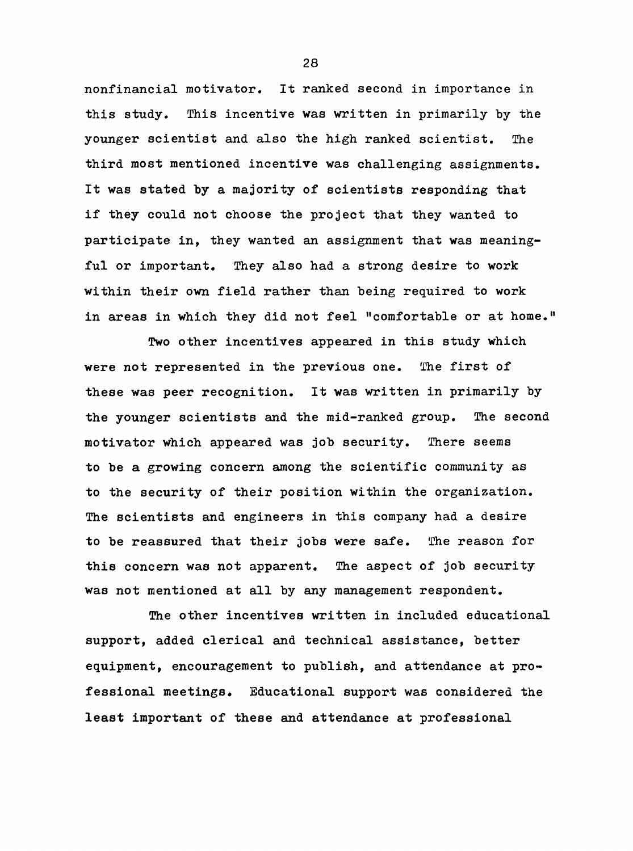nonfinancial motivator. It ranked second in importance in this study. This incentive was written in primarily by the younger scientist and also the high ranked scientist. The third most mentioned incentive was challenging assignments. It was stated by a majority of scientists responding that if they could not choose the project that they wanted to participate in, they wanted an assignment that was meaningful or important. They also had a strong desire to work within their own field rather than being required to work in areas in which they did not feel "comfortable or at home."

Two other incentives appeared in this study which were not represented in the previous one. The first of these was peer recognition. It was written in primarily by the younger scientists and the mid-ranked group. The second motivator which appeared was job security. There seems to be a growing concern among the scientific community as to the security of their position within the organization. The scientists and engineers in this company had a desire to be reassured that their jobs were safe. The reason for this concern was not apparent. The aspect of job security was not mentioned at all by any management respondent.

The other incentives written in included educational support, added clerical and technical assistance, better equipment, encouragement to publish, and attendance at professional meetings. Educational support was considered the least important of these and attendance at professional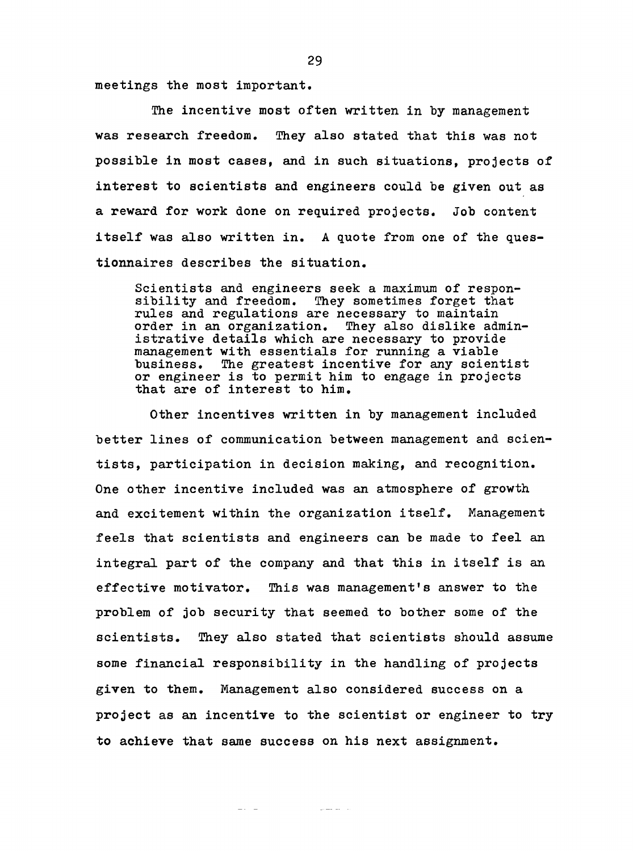meetings the most important.

The incentive most often written in by management was research freedom. They also stated that this was not possible in most cases, and in such situations, projects of interest to scientists and engineers could be given out as a reward for work done on required projects. Job content itself was also written in, A quote from one of the questionnaires describes the situation.

Scientists and engineers seek a maximum of responsibility and freedom. They sometimes forget that rules and regulations are necessary to maintain order in an organization. They also dislike administrative details which are necessary to provide management with essentials for running a viable business. The greatest incentive for any scientist or engineer is to permit him to engage in projects that are of interest to him.

Other incentives written in by management included better lines of communication between management and scientists, participation in decision making, and recognition. One other incentive included was an atmosphere of growth and excitement within the organization itself. Management feels that scientists and engineers can be made to feel an integral part of the company and that this in itself is an effective motivator. This was management's answer to the problem of job security that seemed to bother some of the scientists. They also stated that scientists should assume some financial responsibility in the handling of projects given to them. Management also considered success on a project as an incentive to the scientist or engineer to try to achieve that same success on his next assignment.

مناسبت المستنبذ المتناول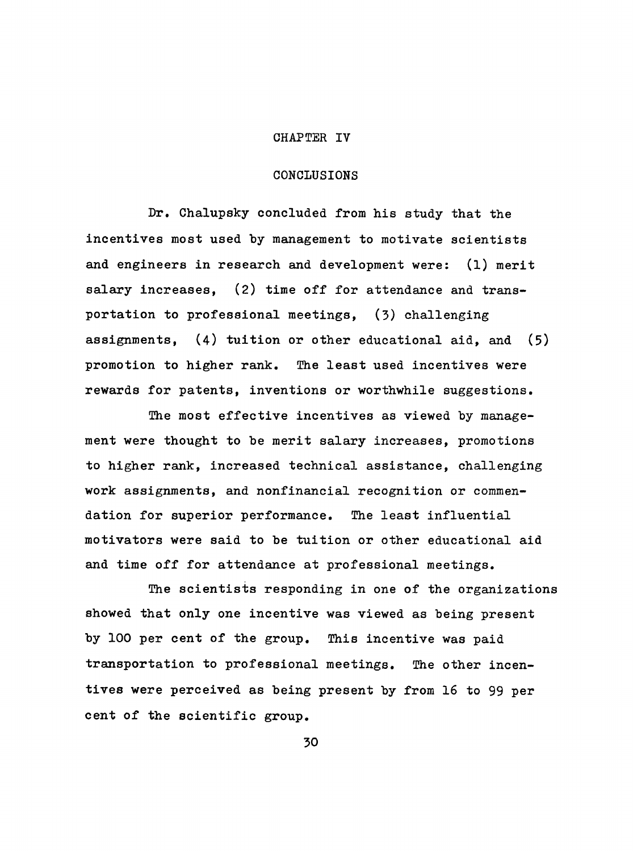### CHAPTER IV

### CONCLUSIONS

Dr. Chalupsky concluded from his study that the incentives most used by management to motivate scientists and engineers in research and development were: (1) merit salary increases, (2) time off for attendance and transportation to professional meetings, (3) challenging assignments, (4) tuition or other educational aid, and (5) promotion to higher rank. The least used incentives were rewards for patents, inventions or worthwhile suggestions.

The most effective incentives as viewed by management were thought to be merit salary increases, promotions to higher rank, increased technical assistance, challenging work assignments, and nonfinancial recognition or commendation for superior performance. The least influential motivators were said to be tuition or other educational aid and time off for attendance at professional meetings.

The scientists responding in one of the organizations showed that only one incentive was viewed as being present by 100 per cent of the group. This incentive was paid transportation to professional meetings. The other incentives were perceived as being present by from 16 to 99 per cent of the scientific group.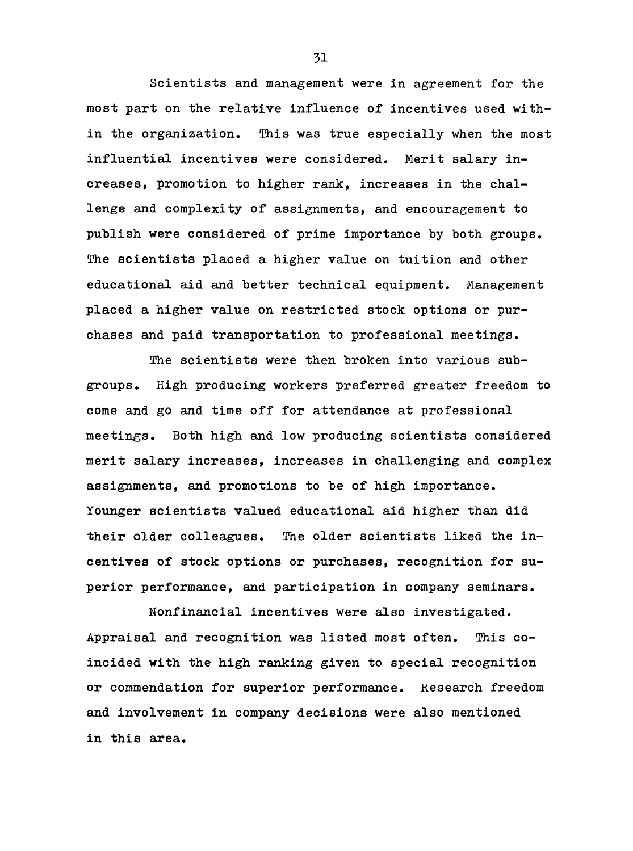Scientists and management were in agreement for the most part on the relative influence of incentives used within the organization. This was true especially when the most influential incentives were considered. Merit salary increases, promotion to higher rank, increases in the challenge and complexity of assignments, and encouragement to publish were considered of prime importance by both groups. The scientists placed a higher value on tuition and other educational aid and better technical equipment. Management placed a higher value on restricted stock options or purchases and paid transportation to professional meetings.

The scientists were then broken into various subgroups. High producing workers preferred greater freedom to come and go and time off for attendance at professional meetings. Both high and low producing scientists considered merit salary increases, increases in challenging and complex assignments, and promotions to be of high importance. Younger scientists valued educational aid higher than did their older colleagues. The older scientists liked the incentives of stock options or purchases, recognition for superior performance, and participation in company seminars.

Nonfinancial incentives were also investigated. Appraisal and recognition was listed most often. This coincided with the high ranking given to special recognition or commendation for superior performance. Research freedom and involvement in company decisions were also mentioned in this area.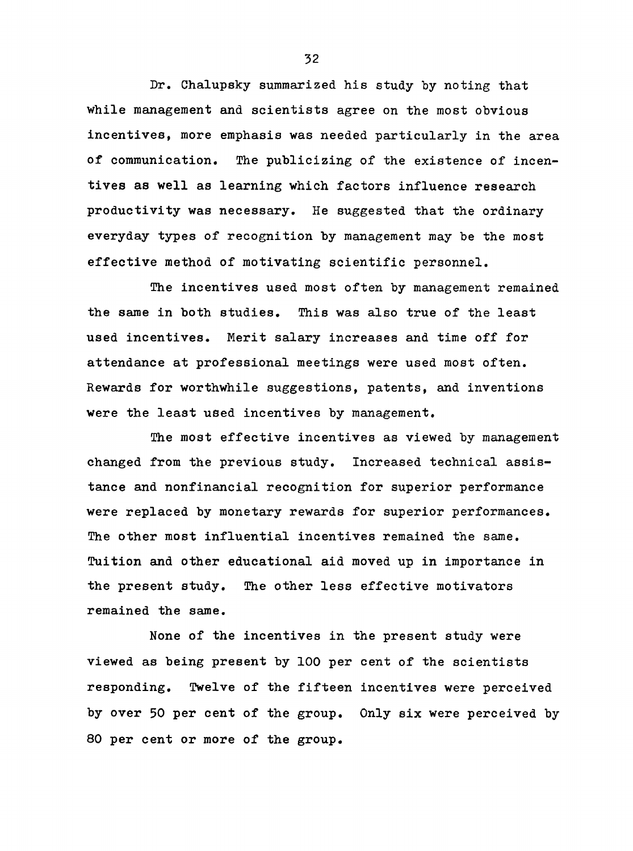Dr. Chalupsky summarized his study by noting that while management and scientists agree on the most obvious incentives, more emphasis was needed particularly in the area of communication. The publicizing of the existence of incentives as well as learning which factors influence research productivity was necessary. He suggested that the ordinary everyday types of recognition by management may be the most effective method of motivating scientific personnel.

The incentives used most often by management remained the same in both studies. This was also true of the least used incentives. Merit salary increases and time off for attendance at professional meetings were used most often. Rewards for worthwhile suggestions, patents, and inventions were the least used incentives by management.

The most effective incentives as viewed by management changed from the previous study. Increased technical assistance and nonfinancial recognition for superior performance were replaced by monetary rewards for superior performances. The other most influential incentives remained the same. Tuition and other educational aid moved up in importance in the present study. The other less effective motivators remained the same.

None of the incentives in the present study were viewed as being present by 100 per cent of the scientists responding. Twelve of the fifteen incentives were perceived by over 50 per cent of the group. Only six were perceived by 80 per cent or more of the group.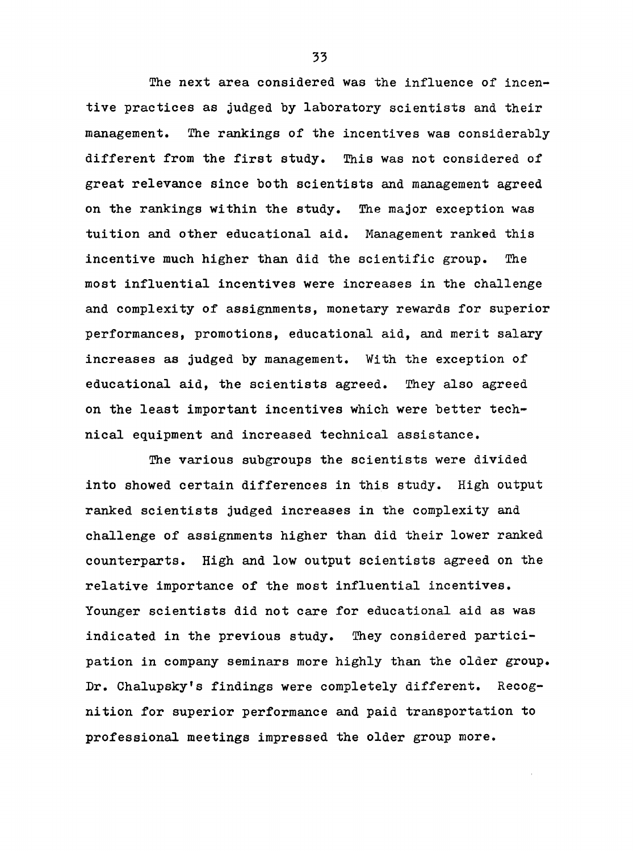The next area considered was the influence of incentive practices as judged by laboratory scientists and their management. The rankings of the incentives was considerably different from the first study. This was not considered of great relevance since both scientists and management agreed on the rankings within the study. The major exception was tuition and other educational aid. Management ranked this incentive much higher than did the scientific group. The most influential incentives were increases in the challenge and complexity of assignments, monetary rewards for superior performances, promotions, educational aid, and merit salary increases as judged by management. With the exception of educational aid, the scientists agreed. They also agreed on the least important incentives which were better technical equipment and increased technical assistance.

The various subgroups the scientists were divided into showed certain differences in this study. High output ranked scientists judged increases in the complexity and challenge of assignments higher than did their lower ranked counterparts. High and low output scientists agreed on the relative importance of the most influential incentives. Younger scientists did not care for educational aid as was indicated in the previous study. They considered participation in company seminars more highly than the older group. Dr. Chalupsky's findings were completely different. Recognition for superior performance and paid transportation to professional meetings impressed the older group more.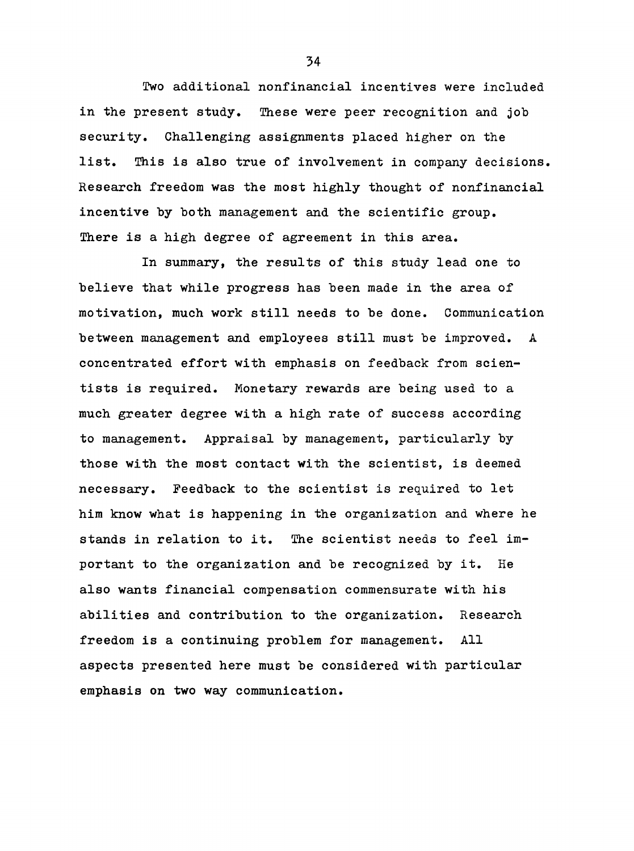Two additional nonfinancial incentives were included in the present study. These were peer recognition and job security. Challenging assignments placed higher on the list. This is also true of involvement in company decisions. Research freedom was the most highly thought of nonfinancial incentive by both management and the scientific group. There is a high degree of agreement in this area.

In summary, the results of this study lead one to believe that while progress has been made in the area of motivation, much work still needs to be done. Communication between management and employees still must be improved. A concentrated effort with emphasis on feedback from scientists is required. Monetary rewards are being used to a much greater degree with a high rate of success according to management. Appraisal by management, particularly by those with the most contact with the scientist, is deemed necessary. Feedback to the scientist is required to let him know what is happening in the organization and where he stands in relation to it. The scientist needs to feel important to the organization and be recognized by it. He also wants financial compensation commensurate with his abilities and contribution to the organization. Research freedom is a continuing problem for management. All aspects presented here must be considered with particular emphasis on two way communication.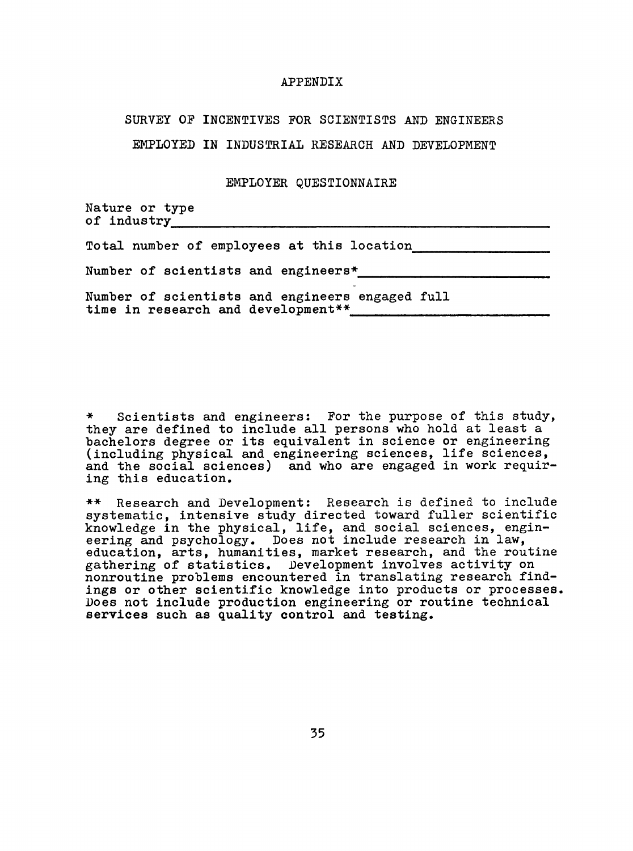#### APPENDIX

### SURVEY OP INCENTIVES POR SCIENTISTS AND ENGINEERS

EMPLOYED IN INDUSTRIAL RESEARCH AND DEVELOPMENT

#### EMPLOYER QUESTIONNAIRE

Nature or type of industry

|                                     |  |  |  | Total number of employees at this location |  |
|-------------------------------------|--|--|--|--------------------------------------------|--|
| Number of scientists and engineers* |  |  |  |                                            |  |

Number of scientists and engineers engaged full time in research and development\*\*

\* Scientists and engineers: Por the purpose of this study, they are defined to include all persons who hold at least a bachelors degree or its equivalent in science or engineering (including physical and engineering sciences, life sciences, and the social sciences) and who are engaged in work requiring this education.

\*\* Research and Development; Research is defined to include systematic, intensive study directed toward fuller scientific knowledge in the physical, life, and social sciences, engineering and psychology. Does not include research in law, education, arts, humanities, market research, and the routine gathering of statistics. Development involves activity on nonroutine problems encountered in translating research findings or other scientific knowledge into products or processes. Does not include production engineering or routine technical services such as quality control and testing.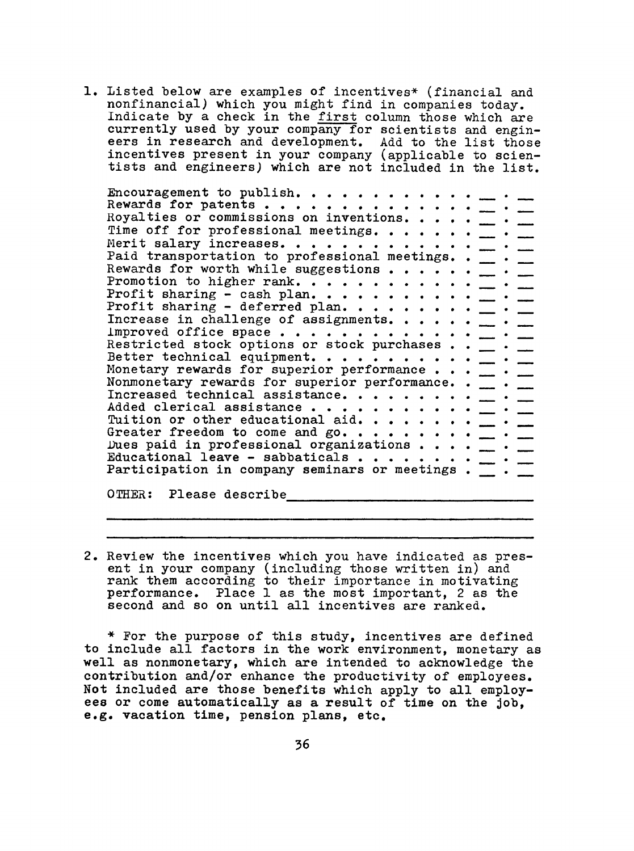1. Listed below are examples of incentives\* (financial and nonfinancial) which you might find in companies today. Indicate by a check in the first column those which are currently used by your company for scientists and engineers in research and development. Add to the list those incentives present in your company (applicable to scientists and engineers) which are not included in the list.

Encouragement to publish. . . . . . . . . Rewards for patents . . . . . . . . . . . . . . \_ . Royalties or commissions on inventions. . . .  $\frac{1}{\sqrt{2}}$  .  $\frac{1}{\sqrt{2}}$ Time off for professional meetings. . . . . .  $\frac{1}{2}$ . Merit salary increases. . . . . . . . . . . . . \_ . Paid transportation to professional meetings.  $\blacksquare$ . Rewards for worth while suggestions . . . . . . \_ . Promotion to higher rank.  $\ldots$  . . . . . . . .  $\top$ . Profit sharing - cash plan.  $\cdots$  . . . . . . . .  $\cdots$ Profit sharing - deferred plan.  $\ldots$  . . . . . .  $\ldots$  . Increase in challenge of assignments.  $\cdots$   $\cdots$   $\cdots$ Improved office space . . . . . . . . . . . . . \_ . Restricted stock options or stock purchases  $\ldots$   $\blacksquare$ . Better technical equipment.  $\cdots$  . . . . . . . \_ . Monetary rewards for superior performance  $\ldots$   $\frac{1}{\sqrt{2}}$ . Nonmonetary rewards for superior performance. .  $\_\_$ . Increased technical assistance. . . . . . . .  $\frac{1}{2}$ . Added clerical assistance . . . . . . . . . .  $\frac{1}{2}$ . Tuition or other educational aid.  $\cdots$  . . . . .  $\cdots$ Greater freedom to come and go.  $\dots \dots \dots$ Dues paid in professional organizations  $\cdots$   $\cdots$ Lues pard in professional organizations  $\cdots$   $\cdots$   $\cdots$   $\cdots$ Participation in company seminars or meetings  $\cdot$   $\cdot$   $\cdot$   $\cdot$ 

OTHER; Please describe

2. Review the incentives which you have indicated as present in your company (including those written in) and rank them according to their importance in motivating performance. Place 1 as the most important, 2 as the second and so on until all incentives are ranked,

\* For the purpose of this study, incentives are defined to include all factors in the work environment, monetary as well as nonmonetary, which are intended to acknowledge the contribution and/or enhance the productivity of employees. Not included are those benefits which apply to all employees or come automatically as a result of time on the job, e.g. vacation time, pension plans, etc.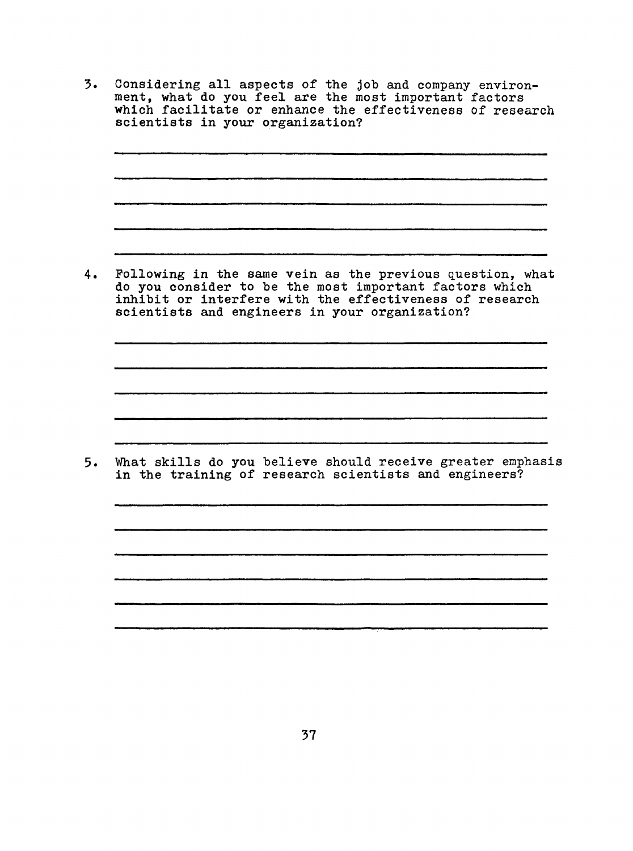Considering all aspects of the job and company environ- $3.$ ment, what do you feel are the most important factors which facilitate or enhance the effectiveness of research scientists in your organization?

Following in the same vein as the previous question, what  $4.$ do you consider to be the most important factors which inhibit or interfere with the effectiveness of research scientists and engineers in your organization?

What skills do you believe should receive greater emphasis  $5.$ in the training of research scientists and engineers?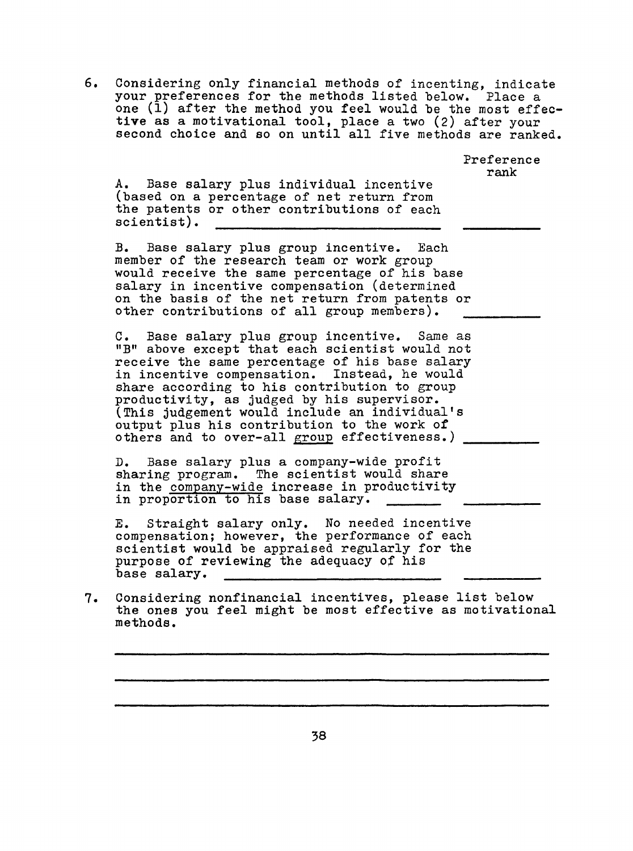6, Considering only financial methods of incenting, indicate your preferences for the methods listed below. Place a one (1) after the method you feel would be the most effective as a motivational tool, place a two (2) after your second choice and so on until all five methods are ranked.

> Preference rank

A. Base salary plus individual incentive (based on a percentage of net return from the patents or other contributions of each scientist).

B. Base salary plus group incentive. Each member of the research team or work group would receive the same percentage of his base salary in incentive compensation (determined on the basis of the net return from patents or other contributions of all group members).

C. Base salary plus group incentive. Same as "B" above except that each scientist would not receive the same percentage of his base salary in incentive compensation. Instead, he would share according to his contribution to group productivity, as judged by his supervisor. (This judgement would include an individual's output plus his contribution to the work of others and to over-all group effectiveness.)

D. Base salary plus a company-wide profit sharing program. The scientist would share in the company-wide increase in productivity in proportion to his base salary.

E. Straight salary only. No needed incentive compensation; however, the performance of each scientist would be appraised regularly for the purpose of reviewing the adequacy of his base salary,

7. Considering nonfinancial incentives, please list below the ones you feel might be most effective as motivational methods.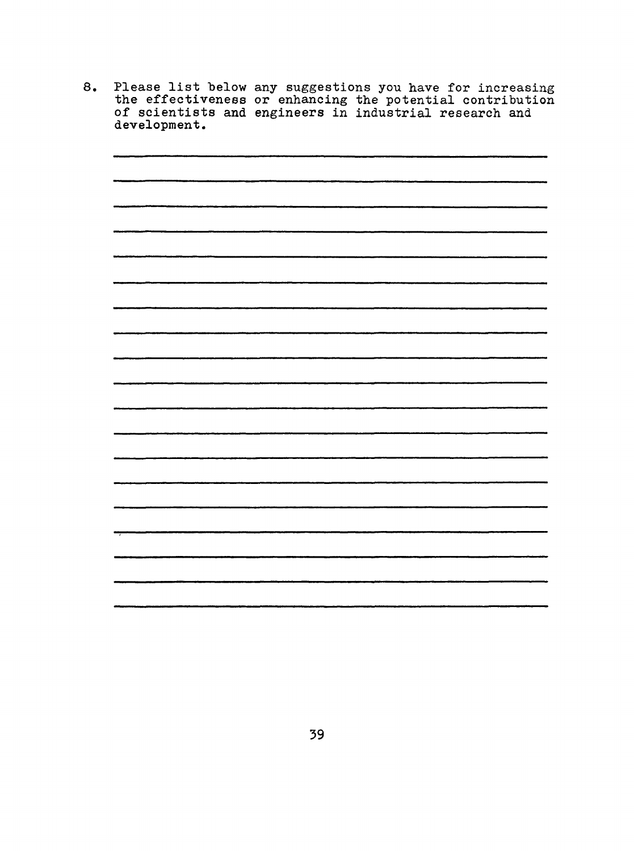8. Please list below any suggestions you have for increasing the effectiveness or enhancing the potential contribution of scientists and engineers in industrial research and development.